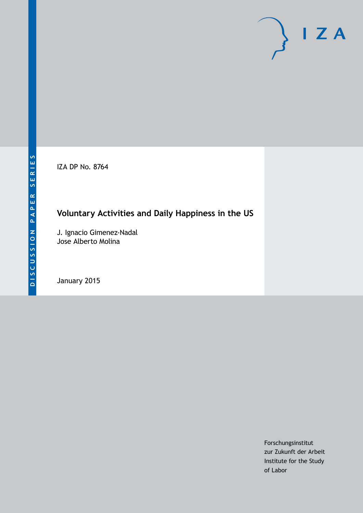IZA DP No. 8764

# **Voluntary Activities and Daily Happiness in the US**

J. Ignacio Gimenez-Nadal Jose Alberto Molina

January 2015

Forschungsinstitut zur Zukunft der Arbeit Institute for the Study of Labor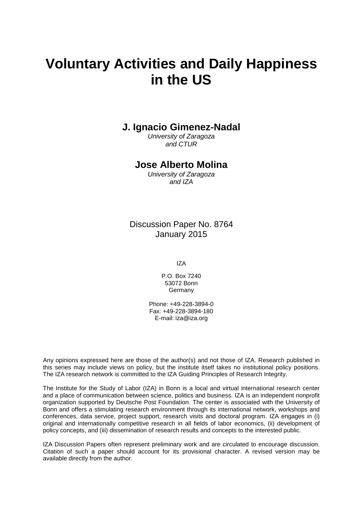# **Voluntary Activities and Daily Happiness in the US**

### **J. Ignacio Gimenez-Nadal**

*University of Zaragoza and CTUR*

### **Jose Alberto Molina**

*University of Zaragoza and IZA*

Discussion Paper No. 8764 January 2015

IZA

P.O. Box 7240 53072 Bonn **Germany** 

Phone: +49-228-3894-0 Fax: +49-228-3894-180 E-mail: [iza@iza.org](mailto:iza@iza.org)

Any opinions expressed here are those of the author(s) and not those of IZA. Research published in this series may include views on policy, but the institute itself takes no institutional policy positions. The IZA research network is committed to the IZA Guiding Principles of Research Integrity.

The Institute for the Study of Labor (IZA) in Bonn is a local and virtual international research center and a place of communication between science, politics and business. IZA is an independent nonprofit organization supported by Deutsche Post Foundation. The center is associated with the University of Bonn and offers a stimulating research environment through its international network, workshops and conferences, data service, project support, research visits and doctoral program. IZA engages in (i) original and internationally competitive research in all fields of labor economics, (ii) development of policy concepts, and (iii) dissemination of research results and concepts to the interested public.

<span id="page-1-0"></span>IZA Discussion Papers often represent preliminary work and are circulated to encourage discussion. Citation of such a paper should account for its provisional character. A revised version may be available directly from the author.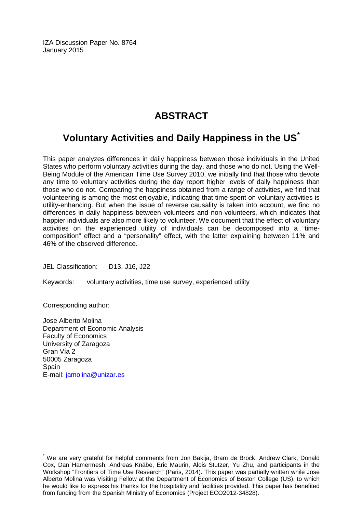IZA Discussion Paper No. 8764 January 2015

### **ABSTRACT**

# **Voluntary Activities and Daily Happiness in the US[\\*](#page-1-0)**

This paper analyzes differences in daily happiness between those individuals in the United States who perform voluntary activities during the day, and those who do not. Using the Well-Being Module of the American Time Use Survey 2010, we initially find that those who devote any time to voluntary activities during the day report higher levels of daily happiness than those who do not. Comparing the happiness obtained from a range of activities, we find that volunteering is among the most enjoyable, indicating that time spent on voluntary activities is utility-enhancing. But when the issue of reverse causality is taken into account, we find no differences in daily happiness between volunteers and non-volunteers, which indicates that happier individuals are also more likely to volunteer. We document that the effect of voluntary activities on the experienced utility of individuals can be decomposed into a "timecomposition" effect and a "personality" effect, with the latter explaining between 11% and 46% of the observed difference.

JEL Classification: D13, J16, J22

Keywords: voluntary activities, time use survey, experienced utility

Corresponding author:

Jose Alberto Molina Department of Economic Analysis Faculty of Economics University of Zaragoza Gran Vía 2 50005 Zaragoza Spain E-mail: [jamolina@unizar.es](mailto:jamolina@unizar.es)

We are very grateful for helpful comments from Jon Bakija, Bram de Brock, Andrew Clark, Donald Cox, Dan Hamermesh, Andreas Knäbe, Eric Maurin, Alois Stutzer, Yu Zhu, and participants in the Workshop "Frontiers of Time Use Research" (Paris, 2014). This paper was partially written while Jose Alberto Molina was Visiting Fellow at the Department of Economics of Boston College (US), to which he would like to express his thanks for the hospitality and facilities provided. This paper has benefited from funding from the Spanish Ministry of Economics (Project ECO2012-34828).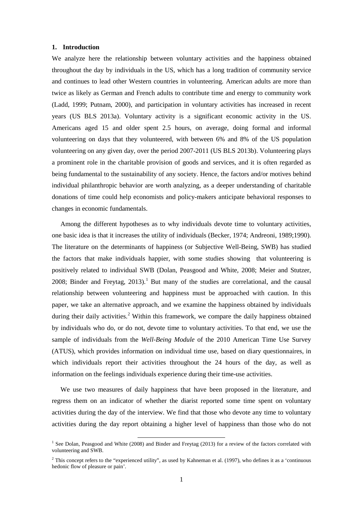#### **1. Introduction**

We analyze here the relationship between voluntary activities and the happiness obtained throughout the day by individuals in the US, which has a long tradition of community service and continues to lead other Western countries in volunteering. American adults are more than twice as likely as German and French adults to contribute time and energy to community work (Ladd, 1999; Putnam, 2000), and participation in voluntary activities has increased in recent years (US BLS 2013a). Voluntary activity is a significant economic activity in the US. Americans aged 15 and older spent 2.5 hours, on average, doing formal and informal volunteering on days that they volunteered, with between 6% and 8% of the US population volunteering on any given day, over the period 2007-2011 (US BLS 2013b). Volunteering plays a prominent role in the charitable provision of goods and services, and it is often regarded as being fundamental to the sustainability of any society. Hence, the factors and/or motives behind individual philanthropic behavior are worth analyzing, as a deeper understanding of charitable donations of time could help economists and policy-makers anticipate behavioral responses to changes in economic fundamentals.

Among the different hypotheses as to why individuals devote time to voluntary activities, one basic idea is that it increases the utility of individuals (Becker, 1974; Andreoni, 1989;1990). The literature on the determinants of happiness (or Subjective Well-Being, SWB) has studied the factors that make individuals happier, with some studies showing that volunteering is positively related to individual SWB (Dolan, Peasgood and White, 2008; Meier and Stutzer, 2008; Binder and Freytag, 2013).<sup>1</sup> But many of the studies are correlational, and the causal relationship between volunteering and happiness must be approached with caution. In this paper, we take an alternative approach, and we examine the happiness obtained by individuals during their daily activities.<sup>[2](#page-3-0)</sup> Within this framework, we compare the daily happiness obtained by individuals who do, or do not, devote time to voluntary activities. To that end, we use the sample of individuals from the *Well-Being Module* of the 2010 American Time Use Survey (ATUS), which provides information on individual time use, based on diary questionnaires, in which individuals report their activities throughout the 24 hours of the day, as well as information on the feelings individuals experience during their time-use activities.

We use two measures of daily happiness that have been proposed in the literature, and regress them on an indicator of whether the diarist reported some time spent on voluntary activities during the day of the interview. We find that those who devote any time to voluntary activities during the day report obtaining a higher level of happiness than those who do not

<sup>&</sup>lt;sup>1</sup> See Dolan, Peasgood and White (2008) and Binder and Freytag (2013) for a review of the factors correlated with volunteering and SWB.

<span id="page-3-1"></span><span id="page-3-0"></span> $2$  This concept refers to the "experienced utility", as used by Kahneman et al. (1997), who defines it as a 'continuous hedonic flow of pleasure or pain'.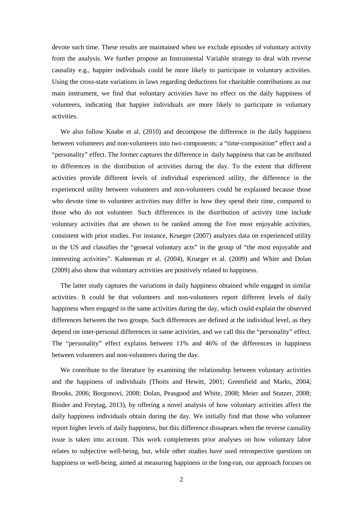devote such time. These results are maintained when we exclude episodes of voluntary activity from the analysis. We further propose an Instrumental Variable strategy to deal with reverse causality e.g., happier individuals could be more likely to participate in voluntary activities. Using the cross-state variations in laws regarding deductions for charitable contributions as our main instrument, we find that voluntary activities have no effect on the daily happiness of volunteers, indicating that happier individuals are more likely to participate in voluntary activities.

We also follow Knabe et al. (2010) and decompose the difference in the daily happiness between volunteers and non-volunteers into two components: a "time-composition" effect and a "personality" effect. The former captures the difference in daily happiness that can be attributed to differences in the distribution of activities during the day. To the extent that different activities provide different levels of individual experienced utility, the difference in the experienced utility between volunteers and non-volunteers could be explained because those who devote time to volunteer activities may differ in how they spend their time, compared to those who do not volunteer. Such differences in the distribution of activity time include voluntary activities that are shown to be ranked among the five most enjoyable activities, consistent with prior studies. For instance, Krueger (2007) analyzes data on experienced utility in the US and classifies the "general voluntary acts" in the group of "the most enjoyable and interesting activities". Kahneman et al. (2004), Krueger et al. (2009) and White and Dolan (2009) also show that voluntary activities are positively related to happiness.

The latter study captures the variations in daily happiness obtained while engaged in similar activities. It could be that volunteers and non-volunteers report different levels of daily happiness when engaged in the same activities during the day, which could explain the observed differences between the two groups. Such differences are defined at the individual level, as they depend on inter-personal differences in same activities, and we call this the "personality" effect. The "personality" effect explains between 11% and 46% of the differences in happiness between volunteers and non-volunteers during the day.

We contribute to the literature by examining the relationship between voluntary activities and the happiness of individuals (Thoits and Hewitt, 2001; Greenfield and Marks, 2004; Brooks, 2006; Borgonovi, 2008; Dolan, Peasgood and White, 2008; Meier and Stutzer, 2008; Binder and Freytag, 2013), by offering a novel analysis of how voluntary activities affect the daily happiness individuals obtain during the day. We initially find that those who volunteer report higher levels of daily happiness, but this difference dissapears when the reverse causality issue is taken into account. This work complements prior analyses on how voluntary labor relates to subjective well-being, but, while other studies have used retrospective questions on happiness or well-being, aimed at measuring happiness in the long-run, our approach focuses on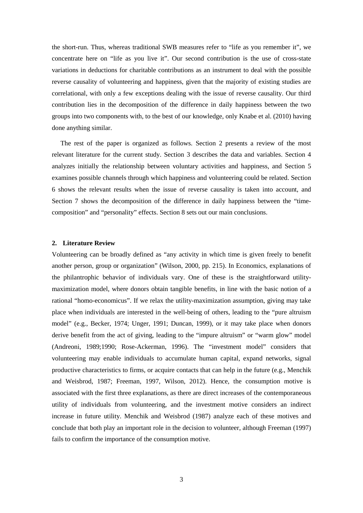the short-run. Thus, whereas traditional SWB measures refer to "life as you remember it", we concentrate here on "life as you live it". Our second contribution is the use of cross-state variations in deductions for charitable contributions as an instrument to deal with the possible reverse causality of volunteering and happiness, given that the majority of existing studies are correlational, with only a few exceptions dealing with the issue of reverse causality. Our third contribution lies in the decomposition of the difference in daily happiness between the two groups into two components with, to the best of our knowledge, only Knabe et al. (2010) having done anything similar.

The rest of the paper is organized as follows. Section 2 presents a review of the most relevant literature for the current study. Section 3 describes the data and variables. Section 4 analyzes initially the relationship between voluntary activities and happiness, and Section 5 examines possible channels through which happiness and volunteering could be related. Section 6 shows the relevant results when the issue of reverse causality is taken into account, and Section 7 shows the decomposition of the difference in daily happiness between the "timecomposition" and "personality" effects. Section 8 sets out our main conclusions.

#### **2. Literature Review**

Volunteering can be broadly defined as "any activity in which time is given freely to benefit another person, group or organization" (Wilson, 2000, pp. 215). In Economics, explanations of the philantrophic behavior of individuals vary. One of these is the straightforward utilitymaximization model, where donors obtain tangible benefits, in line with the basic notion of a rational "homo-economicus". If we relax the utility-maximization assumption, giving may take place when individuals are interested in the well-being of others, leading to the "pure altruism model" (e.g., Becker, 1974; Unger, 1991; Duncan, 1999), or it may take place when donors derive benefit from the act of giving, leading to the "impure altruism" or "warm glow" model (Andreoni, 1989;1990; Rose-Ackerman, 1996). The "investment model" considers that volunteering may enable individuals to accumulate human capital, expand networks, signal productive characteristics to firms, or acquire contacts that can help in the future (e.g., Menchik and Weisbrod, 1987; Freeman, 1997, Wilson, 2012). Hence, the consumption motive is associated with the first three explanations, as there are direct increases of the contemporaneous utility of individuals from volunteering, and the investment motive considers an indirect increase in future utility. Menchik and Weisbrod (1987) analyze each of these motives and conclude that both play an important role in the decision to volunteer, although Freeman (1997) fails to confirm the importance of the consumption motive.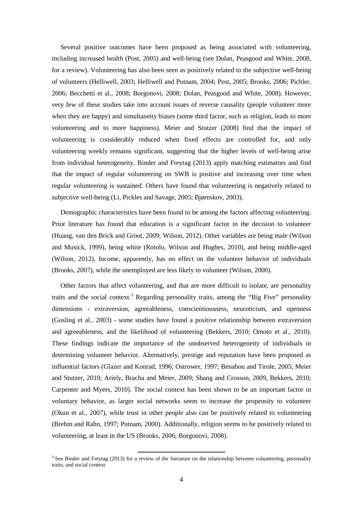Several positive outcomes have been proposed as being associated with volunteering, including increased health (Post, 2005) and well-being (see Dolan, Peasgood and White, 2008, for a review). Volunteering has also been seen as positively related to the subjective well-being of volunteers (Helliwell, 2003; Helliwell and Putnam, 2004; Post, 2005; Brooks, 2006; Pichler, 2006; Becchetti et al., 2008; Borgonovi, 2008; Dolan, Peasgood and White, 2008). However, very few of these studies take into account issues of reverse causality (people volunteer more when they are happy) and simultaneity biases (some third factor, such as religion, leads to more volunteering and to more happiness). Meier and Stutzer (2008) find that the impact of volunteering is considerably reduced when fixed effects are controlled for, and only volunteering weekly remains significant, suggesting that the higher levels of well-being arise from individual heterogeneity. Binder and Freytag (2013) apply matching estimators and find that the impact of regular volunteering on SWB is positive and increasing over time when regular volunteering is sustained. Others have found that volunteering is negatively related to subjective well-being (Li, Pickles and Savage, 2005; Bjørnskov, 2003).

Demographic characteristics have been found to be among the factors affecting volunteering. Prior literature has found that education is a significant factor in the decision to volunteer (Huang, van den Brick and Groot, 2009; Wilson, 2012). Other variables are being male (Wilson and Musick, 1999), being white (Rotolo, Wilson and Hughes, 2010), and being middle-aged (Wilson, 2012). Income, apparently, has no effect on the volunteer behavior of individuals (Brooks, 2007), while the unemployed are less likely to volunteer (Wilson, 2000).

Other factors that affect volunteering, and that are more difficult to isolate, are personality traits and the social context.<sup>[3](#page-3-1)</sup> Regarding personality traits, among the "Big Five" personality dimensions - extraversion, agreeableness, conscientiousness, neuroticism, and openness (Gosling et al., 2003) - some studies have found a positive relationship between extraversion and agreeableness, and the likelihood of volunteering (Bekkers, 2010; Omoto et al., 2010). These findings indicate the importance of the unobserved heterogeneity of individuals in determining volunteer behavior. Alternatively, prestige and reputation have been proposed as influential factors (Glazer and Konrad, 1996; Ostrower, 1997; Bénabou and Tirole, 2005; Meier and Stutzer, 2010; Ariely, Bracha and Meier, 2009; Shang and Crosson, 2009, Bekkers, 2010; Carpenter and Myers, 2010). The social context has been shown to be an important factor in voluntary behavior, as larger social networks seem to increase the propensity to volunteer (Okun et al., 2007), while trust in other people also can be positively related to volunteering (Brehm and Rahn, 1997; Putnam, 2000). Additionally, religion seems to be positively related to volunteering, at least in the US (Brooks, 2006; Borgonovi, 2008).

 $\overline{\phantom{a}}$ 

<span id="page-6-0"></span><sup>&</sup>lt;sup>3</sup> See Binder and Freytag (2013) for a review of the literature on the relationship between volunteering, personality traits, and social context.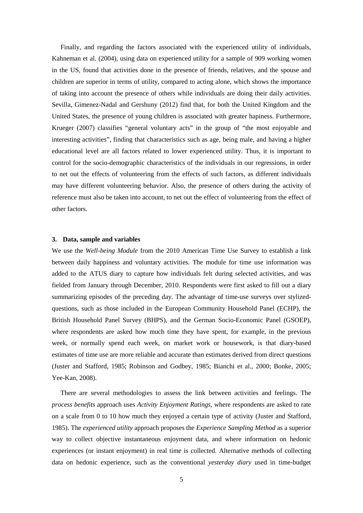Finally, and regarding the factors associated with the experienced utility of individuals, Kahneman et al. (2004), using data on experienced utility for a sample of 909 working women in the US, found that activities done in the presence of friends, relatives, and the spouse and children are superior in terms of utility, compared to acting alone, which shows the importance of taking into account the presence of others while individuals are doing their daily activities. Sevilla, Gimenez-Nadal and Gershuny (2012) find that, for both the United Kingdom and the United States, the presence of young children is associated with greater hapiness. Furthermore, Krueger (2007) classifies "general voluntary acts" in the group of "the most enjoyable and interesting activities", finding that characteristics such as age, being male, and having a higher educational level are all factors related to lower experienced utility. Thus, it is important to control for the socio-demographic characteristics of the individuals in our regressions, in order to net out the effects of volunteering from the effects of such factors, as different individuals may have different volunteering behavior. Also, the presence of others during the activity of reference must also be taken into account, to net out the effect of volunteering from the effect of other factors.

#### **3. Data, sample and variables**

We use the *Well-being Module* from the 2010 American Time Use Survey to establish a link between daily happiness and voluntary activities. The module for time use information was added to the ATUS diary to capture how individuals felt during selected activities, and was fielded from January through December, 2010. Respondents were first asked to fill out a diary summarizing episodes of the preceding day. The advantage of time-use surveys over stylizedquestions, such as those included in the European Community Household Panel (ECHP), the British Household Panel Survey (BHPS), and the German Socio-Economic Panel (GSOEP), where respondents are asked how much time they have spent, for example, in the previous week, or normally spend each week, on market work or housework, is that diary-based estimates of time use are more reliable and accurate than estimates derived from direct questions (Juster and Stafford, 1985; Robinson and Godbey, 1985; Bianchi et al., 2000; Bonke, 2005; Yee-Kan, 2008).

There are several methodologies to assess the link between activities and feelings. The *process benefits* approach uses *Activity Enjoyment Ratings*, where respondents are asked to rate on a scale from 0 to 10 how much they enjoyed a certain type of activity (Juster and Stafford, 1985). The *experienced utility* approach proposes the *Experience Sampling Method* as a superior way to collect objective instantaneous enjoyment data, and where information on hedonic experiences (or instant enjoyment) in real time is collected. Alternative methods of collecting data on hedonic experience, such as the conventional *yesterday diary* used in time-budget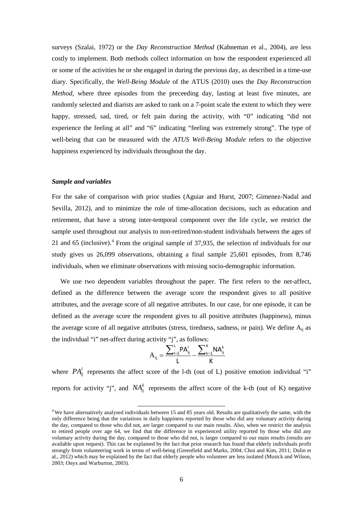surveys (Szalai, 1972) or the *Day Reconstruction Method* (Kahneman et al., 2004), are less costly to implement. Both methods collect information on how the respondent experienced all or some of the activities he or she engaged in during the previous day, as described in a time-use diary. Specifically, the *Well-Being Module* of the ATUS (2010) uses the *Day Reconstruction Method*, where three episodes from the preceeding day, lasting at least five minutes, are randomly selected and diarists are asked to rank on a 7-point scale the extent to which they were happy, stressed, sad, tired, or felt pain during the activity, with "0" indicating "did not experience the feeling at all" and "6" indicating "feeling was extremely strong". The type of well-being that can be measured with the *ATUS Well-Being Module* refers to the objective happiness experienced by individuals throughout the day.

#### *Sample and variables*

For the sake of comparison with prior studies (Aguiar and Hurst, 2007; Gimenez-Nadal and Sevilla, 2012), and to minimize the role of time-allocation decisions, such as education and retirement, that have a strong inter-temporal component over the life cycle, we restrict the sample used throughout our analysis to non-retired/non-student individuals between the ages of 21 and 65 (inclusive).<sup>[4](#page-6-0)</sup> From the original sample of 37,935, the selection of individuals for our study gives us 26,099 observations, obtaining a final sample 25,601 episodes, from 8,746 individuals, when we eliminate observations with missing socio-demographic information.

We use two dependent variables throughout the paper. The first refers to the net-affect, defined as the difference between the average score the respondent gives to all positive attributes, and the average score of all negative attributes. In our case, for one episode, it can be defined as the average score the respondent gives to all positive attributes (happiness), minus the average score of all negative attributes (stress, tiredness, sadness, or pain). We define  $A_{ii}$  as the individual "i" net-affect during activity "j", as follows:

$$
A_{ij} = \frac{\sum_{l=1}^{L} PA_{ij}^{l}}{L} - \frac{\sum_{k=1}^{K} NA_{ij}^{k}}{K}
$$

where  $PA_{ii}^l$  represents the affect score of the 1-th (out of L) positive emotion individual "i" reports for activity "j", and  $NA_{ij}^k$  represents the affect score of the k-th (out of K) negative

<span id="page-8-0"></span><sup>4</sup> We have alternatively analysed individuals between 15 and 85 years old. Results are qualitatively the same, with the only difference being that the variations in daily happiness reported by those who did any voluntary activity during the day, compared to those who did not, are larger compared to our main results. Also, when we restrict the analysis to retired people over age 64, we find that the difference in experienced utility reported by those who did any voluntary activity during the day, compared to those who did not, is larger compared to our main results (results are available upon request). This can be explained by the fact that prior research has found that elderly individuals profit strongly from volunteering work in terms of well-being (Greenfield and Marks, 2004; Choi and Kim, 2011; Dulin et al., 2012) which may be explained by the fact that elderly people who volunteer are less isolated (Musick and Wilson, 2003; Onyx and Warburton, 2003).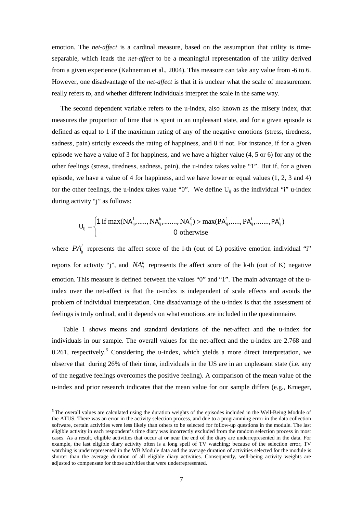emotion. The *net-affect* is a cardinal measure, based on the assumption that utility is timeseparable, which leads the *net-affect* to be a meaningful representation of the utility derived from a given experience (Kahneman et al., 2004). This measure can take any value from -6 to 6. However, one disadvantage of the *net-affect* is that it is unclear what the scale of measurement really refers to, and whether different individuals interpret the scale in the same way.

The second dependent variable refers to the u-index, also known as the misery index, that measures the proportion of time that is spent in an unpleasant state, and for a given episode is defined as equal to 1 if the maximum rating of any of the negative emotions (stress, tiredness, sadness, pain) strictly exceeds the rating of happiness, and 0 if not. For instance, if for a given episode we have a value of 3 for happiness, and we have a higher value (4, 5 or 6) for any of the other feelings (stress, tiredness, sadness, pain), the u-index takes value "1". But if, for a given episode, we have a value of 4 for happiness, and we have lower or equal values (1, 2, 3 and 4) for the other feelings, the u-index takes value "0". We define  $U_{ii}$  as the individual "i" u-index during activity "j" as follows:

$$
U_{ij} = \begin{cases} 1 \text{ if } \max(NA_{ij}^1, \dots, NA_{ij}^k, \dots, NA_{ij}^K) > \max(PA_{ij}^1, \dots, PA_{ij}^l, \dots, PA_{ij}^L) \\ 0 \text{ otherwise} \end{cases}
$$

where  $PA_{ii}^l$  represents the affect score of the 1-th (out of L) positive emotion individual "i" reports for activity "j", and  $NA_{ii}^k$  represents the affect score of the k-th (out of K) negative emotion. This measure is defined between the values "0" and "1". The main advantage of the uindex over the net-affect is that the u-index is independent of scale effects and avoids the problem of individual interpretation. One disadvantage of the u-index is that the assessment of feelings is truly ordinal, and it depends on what emotions are included in the questionnaire.

Table 1 shows means and standard deviations of the net-affect and the u-index for individuals in our sample. The overall values for the net-affect and the u-index are 2.768 and 0.261, respectively.<sup>[5](#page-8-0)</sup> Considering the u-index, which yields a more direct interpretation, we observe that during 26% of their time, individuals in the US are in an unpleasant state (i.e. any of the negative feelings overcomes the positive feeling). A comparison of the mean value of the u-index and prior research indicates that the mean value for our sample differs (e.g., Krueger,

<span id="page-9-0"></span> $<sup>5</sup>$  The overall values are calculated using the duration weights of the episodes included in the Well-Being Module of</sup> the ATUS. There was an error in the activity selection process, and due to a programming error in the data collection software, certain activities were less likely than others to be selected for follow-up questions in the module. The last eligible activity in each respondent's time diary was incorrectly excluded from the random selection process in most cases. As a result, eligible activities that occur at or near the end of the diary are underrepresented in the data. For example, the last eligible diary activity often is a long spell of TV watching; because of the selection error, TV watching is underrepresented in the WB Module data and the average duration of activities selected for the module is shorter than the average duration of all eligible diary activities. Consequently, well-being activity weights are adjusted to compensate for those activities that were underrepresented.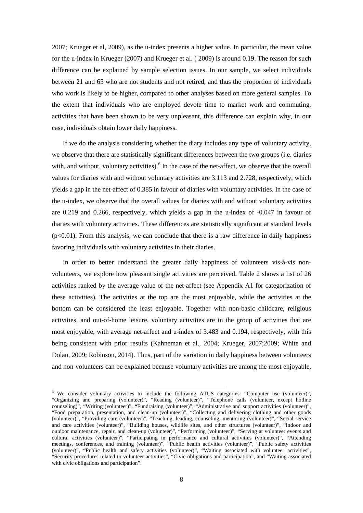2007; Krueger et al, 2009), as the u-index presents a higher value. In particular, the mean value for the u-index in Krueger (2007) and Krueger et al. ( 2009) is around 0.19. The reason for such difference can be explained by sample selection issues. In our sample, we select individuals between 21 and 65 who are not students and not retired, and thus the proportion of individuals who work is likely to be higher, compared to other analyses based on more general samples. To the extent that individuals who are employed devote time to market work and commuting, activities that have been shown to be very unpleasant, this difference can explain why, in our case, individuals obtain lower daily happiness.

If we do the analysis considering whether the diary includes any type of voluntary activity, we observe that there are statistically significant differences between the two groups (i.e. diaries with, and without, voluntary activities).  $6$  In the case of the net-affect, we observe that the overall values for diaries with and without voluntary activities are 3.113 and 2.728, respectively, which yields a gap in the net-affect of 0.385 in favour of diaries with voluntary activities. In the case of the u-index, we observe that the overall values for diaries with and without voluntary activities are 0.219 and 0.266, respectively, which yields a gap in the u-index of -0.047 in favour of diaries with voluntary activities. These differences are statistically significant at standard levels  $(p<0.01)$ . From this analysis, we can conclude that there is a raw difference in daily happiness favoring individuals with voluntary activities in their diaries.

In order to better understand the greater daily happiness of volunteers vis-à-vis nonvolunteers, we explore how pleasant single activities are perceived. Table 2 shows a list of 26 activities ranked by the average value of the net-affect (see Appendix A1 for categorization of these activities). The activities at the top are the most enjoyable, while the activities at the bottom can be considered the least enjoyable. Together with non-basic childcare, religious activities, and out-of-home leisure, voluntary activities are in the group of activities that are most enjoyable, with average net-affect and u-index of 3.483 and 0.194, respectively, with this being consistent with prior results (Kahneman et al., 2004; Krueger, 2007;2009; White and Dolan, 2009; Robinson, 2014). Thus, part of the variation in daily happiness between volunteers and non-volunteers can be explained because voluntary activities are among the most enjoyable,

<span id="page-10-0"></span><sup>6</sup> We consider voluntary activities to include the following ATUS categories: "Computer use (volunteer)", "Organizing and preparing (volunteer)", "Reading (volunteer)", "Telephone calls (volunteer, except hotline counseling)", "Writing (volunteer)", "Fundraising (volunteer)", "Administrative and support activities (volunteer)", "Food preparation, presentation, and clean-up (volunteer)", "Collecting and delivering clothing and other goods (volunteer)", "Providing care (volunteer)", "Teaching, leading, counseling, mentoring (volunteer)", "Social service and care activities (volunteer)", "Building houses, wildlife sites, and other structures (volunteer)", "Indoor and outdoor maintenance, repair, and clean-up (volunteer)", "Performing (volunteer)", "Serving at volunteer events and cultural activities (volunteer)", "Participating in performance and cultural activities (volunteer)", "Attending meetings, conferences, and training (volunteer)", "Public health activities (volunteer)", "Public safety activities (volunteer)", "Public health and safety activities (volunteer)", "Waiting associated with volunteer activities", "Security procedures related to volunteer activities", "Civic obligations and participation", and "Waiting associated with civic obligations and participation".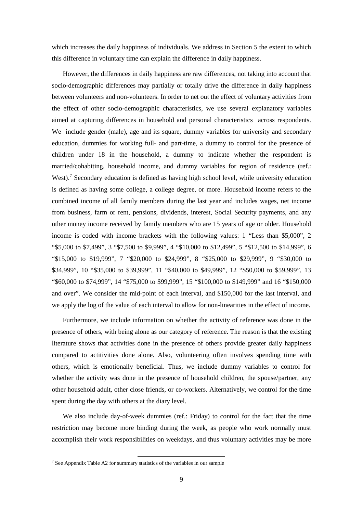which increases the daily happiness of individuals. We address in Section 5 the extent to which this difference in voluntary time can explain the difference in daily happiness.

However, the differences in daily happiness are raw differences, not taking into account that socio-demographic differences may partially or totally drive the difference in daily happiness between volunteers and non-volunteers. In order to net out the effect of voluntary activities from the effect of other socio-demographic characteristics, we use several explanatory variables aimed at capturing differences in household and personal characteristics across respondents. We include gender (male), age and its square, dummy variables for university and secondary education, dummies for working full- and part-time, a dummy to control for the presence of children under 18 in the household, a dummy to indicate whether the respondent is married/cohabiting, household income, and dummy variables for region of residence (ref.: West).<sup>[7](#page-10-0)</sup> Secondary education is defined as having high school level, while university education is defined as having some college, a college degree, or more. Household income refers to the combined income of all family members during the last year and includes wages, net income from business, farm or rent, pensions, dividends, interest, Social Security payments, and any other money income received by family members who are 15 years of age or older. Household income is coded with income brackets with the following values: 1 "Less than \$5,000", 2 "\$5,000 to \$7,499", 3 "\$7,500 to \$9,999", 4 "\$10,000 to \$12,499", 5 "\$12,500 to \$14,999", 6 "\$15,000 to \$19,999", 7 "\$20,000 to \$24,999", 8 "\$25,000 to \$29,999", 9 "\$30,000 to \$34,999", 10 "\$35,000 to \$39,999", 11 "\$40,000 to \$49,999", 12 "\$50,000 to \$59,999", 13 "\$60,000 to \$74,999", 14 "\$75,000 to \$99,999", 15 "\$100,000 to \$149,999" and 16 "\$150,000 and over". We consider the mid-point of each interval, and \$150,000 for the last interval, and we apply the log of the value of each interval to allow for non-linearities in the effect of income.

Furthermore, we include information on whether the activity of reference was done in the presence of others, with being alone as our category of reference. The reason is that the existing literature shows that activities done in the presence of others provide greater daily happiness compared to actitivities done alone. Also, volunteering often involves spending time with others, which is emotionally beneficial. Thus, we include dummy variables to control for whether the activity was done in the presence of household children, the spouse/partner, any other household adult, other close friends, or co-workers. Alternatively, we control for the time spent during the day with others at the diary level.

We also include day-of-week dummies (ref.: Friday) to control for the fact that the time restriction may become more binding during the week, as people who work normally must accomplish their work responsibilities on weekdays, and thus voluntary activities may be more

<span id="page-11-0"></span>l  $7$  See Appendix Table A2 for summary statistics of the variables in our sample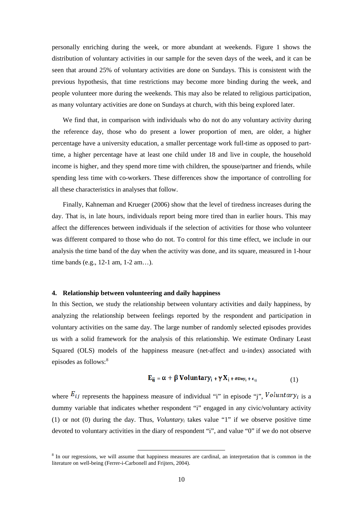personally enriching during the week, or more abundant at weekends. Figure 1 shows the distribution of voluntary activities in our sample for the seven days of the week, and it can be seen that around 25% of voluntary activities are done on Sundays. This is consistent with the previous hypothesis, that time restrictions may become more binding during the week, and people volunteer more during the weekends. This may also be related to religious participation, as many voluntary activities are done on Sundays at church, with this being explored later.

We find that, in comparison with individuals who do not do any voluntary activity during the reference day, those who do present a lower proportion of men, are older, a higher percentage have a university education, a smaller percentage work full-time as opposed to parttime, a higher percentage have at least one child under 18 and live in couple, the household income is higher, and they spend more time with children, the spouse/partner and friends, while spending less time with co-workers. These differences show the importance of controlling for all these characteristics in analyses that follow.

Finally, Kahneman and Krueger (2006) show that the level of tiredness increases during the day. That is, in late hours, individuals report being more tired than in earlier hours. This may affect the differences between individuals if the selection of activities for those who volunteer was different compared to those who do not. To control for this time effect, we include in our analysis the time band of the day when the activity was done, and its square, measured in 1-hour time bands (e.g., 12-1 am, 1-2 am…).

#### **4. Relationship between volunteering and daily happiness**

 $\overline{\phantom{a}}$ 

In this Section, we study the relationship between voluntary activities and daily happiness, by analyzing the relationship between feelings reported by the respondent and participation in voluntary activities on the same day. The large number of randomly selected episodes provides us with a solid framework for the analysis of this relationship. We estimate Ordinary Least Squared (OLS) models of the happiness measure (net-affect and u-index) associated with episodes as follows: [8](#page-11-0)

$$
E_{ij} = \alpha + \beta \text{ Voluntary}_{i} + \gamma X_{i} + \delta \text{Day}_{i} + \epsilon_{ij}
$$
 (1)

where  $E_{ij}$  represents the happiness measure of individual "i" in episode "j",  $Voluntary_{i}$  is a dummy variable that indicates whether respondent "i" engaged in any civic/voluntary activity (1) or not (0) during the day. Thus, *Voluntaryi* takes value "1" if we observe positive time devoted to voluntary activities in the diary of respondent "i", and value "0" if we do not observe

<span id="page-12-0"></span> $8$  In our regressions, we will assume that happiness measures are cardinal, an interpretation that is common in the literature on well-being (Ferrer-i-Carbonell and Frijters, 2004).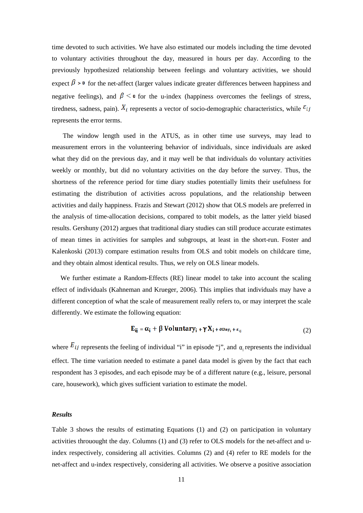time devoted to such activities. We have also estimated our models including the time devoted to voluntary activities throughout the day, measured in hours per day. According to the previously hypothesized relationship between feelings and voluntary activities, we should expect  $\beta > 0$  for the net-affect (larger values indicate greater differences between happiness and negative feelings), and  $\beta \leq \mathbf{0}$  for the u-index (happiness overcomes the feelings of stress, tiredness, sadness, pain).  $X_i$  represents a vector of socio-demographic characteristics, while  $\varepsilon_{ij}$ represents the error terms.

The window length used in the ATUS, as in other time use surveys, may lead to measurement errors in the volunteering behavior of individuals, since individuals are asked what they did on the previous day, and it may well be that individuals do voluntary activities weekly or monthly, but did no voluntary activities on the day before the survey. Thus, the shortness of the reference period for time diary studies potentially limits their usefulness for estimating the distribution of activities across populations, and the relationship between activities and daily happiness. Frazis and Stewart (2012) show that OLS models are preferred in the analysis of time-allocation decisions, compared to tobit models, as the latter yield biased results. Gershuny (2012) argues that traditional diary studies can still produce accurate estimates of mean times in activities for samples and subgroups, at least in the short-run. Foster and Kalenkoski (2013) compare estimation results from OLS and tobit models on childcare time, and they obtain almost identical results. Thus, we rely on OLS linear models.

We further estimate a Random-Effects (RE) linear model to take into account the scaling effect of individuals (Kahneman and Krueger, 2006). This implies that individuals may have a different conception of what the scale of measurement really refers to, or may interpret the scale differently. We estimate the following equation:

$$
E_{ij} = \alpha_i + \beta \text{ Voluntary}_{i} + \gamma X_i + \delta \text{Day}_{i} + \epsilon_{ij}
$$
 (2)

where  $E_{ij}$  represents the feeling of individual "i" in episode "j", and  $\alpha_i$  represents the individual effect. The time variation needed to estimate a panel data model is given by the fact that each respondent has 3 episodes, and each episode may be of a different nature (e.g., leisure, personal care, housework), which gives sufficient variation to estimate the model.

#### *Results*

Table 3 shows the results of estimating Equations (1) and (2) on participation in voluntary activities throuought the day. Columns (1) and (3) refer to OLS models for the net-affect and uindex respectively, considering all activities. Columns (2) and (4) refer to RE models for the net-affect and u-index respectively, considering all activities. We observe a positive association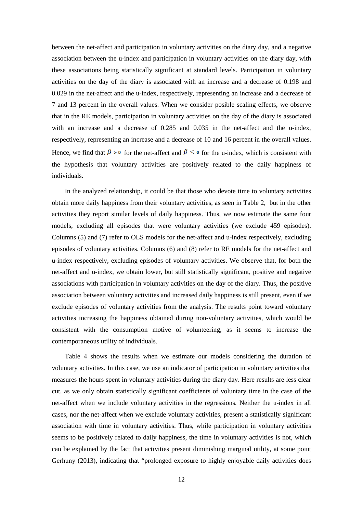between the net-affect and participation in voluntary activities on the diary day, and a negative association between the u-index and participation in voluntary activities on the diary day, with these associations being statistically significant at standard levels. Participation in voluntary activities on the day of the diary is associated with an increase and a decrease of 0.198 and 0.029 in the net-affect and the u-index, respectively, representing an increase and a decrease of 7 and 13 percent in the overall values. When we consider posible scaling effects, we observe that in the RE models, participation in voluntary activities on the day of the diary is associated with an increase and a decrease of 0.285 and 0.035 in the net-affect and the u-index, respectively, representing an increase and a decrease of 10 and 16 percent in the overall values. Hence, we find that  $\beta > 0$  for the net-affect and  $\beta \le 0$  for the u-index, which is consistent with the hypothesis that voluntary activities are positively related to the daily happiness of individuals.

In the analyzed relationship, it could be that those who devote time to voluntary activities obtain more daily happiness from their voluntary activities, as seen in Table 2, but in the other activities they report similar levels of daily happiness. Thus, we now estimate the same four models, excluding all episodes that were voluntary activities (we exclude 459 episodes). Columns (5) and (7) refer to OLS models for the net-affect and u-index respectively, excluding episodes of voluntary activities. Columns (6) and (8) refer to RE models for the net-affect and u-index respectively, excluding episodes of voluntary activities. We observe that, for both the net-affect and u-index, we obtain lower, but still statistically significant, positive and negative associations with participation in voluntary activities on the day of the diary. Thus, the positive association between voluntary activities and increased daily happiness is still present, even if we exclude episodes of voluntary activities from the analysis. The results point toward voluntary activities increasing the happiness obtained during non-voluntary activities, which would be consistent with the consumption motive of volunteering, as it seems to increase the contemporaneous utility of individuals.

Table 4 shows the results when we estimate our models considering the duration of voluntary activities. In this case, we use an indicator of participation in voluntary activities that measures the hours spent in voluntary activities during the diary day. Here results are less clear cut, as we only obtain statistically significant coefficients of voluntary time in the case of the net-affect when we include voluntary activities in the regressions. Neither the u-index in all cases, nor the net-affect when we exclude voluntary activities, present a statistically significant association with time in voluntary activities. Thus, while participation in voluntary activities seems to be positively related to daily happiness, the time in voluntary activities is not, which can be explained by the fact that activities present diminishing marginal utility, at some point Gerhuny (2013), indicating that "prolonged exposure to highly enjoyable daily activities does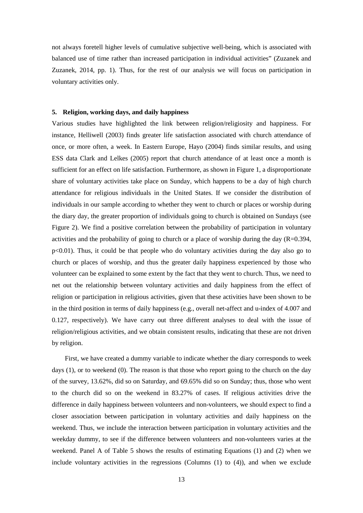not always foretell higher levels of cumulative subjective well-being, which is associated with balanced use of time rather than increased participation in individual activities" (Zuzanek and Zuzanek, 2014, pp. 1). Thus, for the rest of our analysis we will focus on participation in voluntary activities only.

#### **5. Religion, working days, and daily happiness**

Various studies have highlighted the link between religion/religiosity and happiness. For instance, Helliwell (2003) finds greater life satisfaction associated with church attendance of once, or more often, a week. In Eastern Europe, Hayo (2004) finds similar results, and using ESS data Clark and Lelkes (2005) report that church attendance of at least once a month is sufficient for an effect on life satisfaction. Furthermore, as shown in Figure 1, a disproportionate share of voluntary activities take place on Sunday, which happens to be a day of high church attendance for religious individuals in the United States. If we consider the distribution of individuals in our sample according to whether they went to church or places or worship during the diary day, the greater proportion of individuals going to church is obtained on Sundays (see Figure 2). We find a positive correlation between the probability of participation in voluntary activities and the probability of going to church or a place of worship during the day  $(R=0.394,$ p<0.01). Thus, it could be that people who do voluntary activities during the day also go to church or places of worship, and thus the greater daily happiness experienced by those who volunteer can be explained to some extent by the fact that they went to church. Thus, we need to net out the relationship between voluntary activities and daily happiness from the effect of religion or participation in religious activities, given that these activities have been shown to be in the third position in terms of daily happiness (e.g., overall net-affect and u-index of 4.007 and 0.127, respectively). We have carry out three different analyses to deal with the issue of religion/religious activities, and we obtain consistent results, indicating that these are not driven by religion.

First, we have created a dummy variable to indicate whether the diary corresponds to week days (1), or to weekend (0). The reason is that those who report going to the church on the day of the survey, 13.62%, did so on Saturday, and 69.65% did so on Sunday; thus, those who went to the church did so on the weekend in 83.27% of cases. If religious activities drive the difference in daily happiness between volunteers and non-volunteers, we should expect to find a closer association between participation in voluntary activities and daily happiness on the weekend. Thus, we include the interaction between participation in voluntary activities and the weekday dummy, to see if the difference between volunteers and non-volunteers varies at the weekend. Panel A of Table 5 shows the results of estimating Equations (1) and (2) when we include voluntary activities in the regressions (Columns (1) to (4)), and when we exclude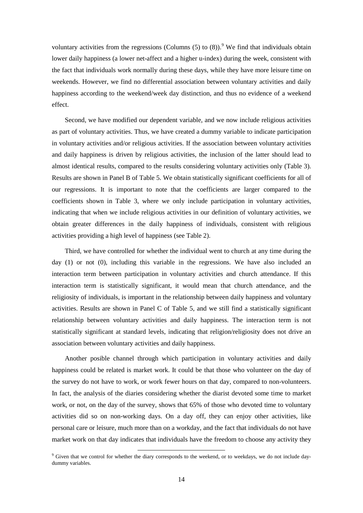voluntary activities from the regressions (Columns  $(5)$  to  $(8)$ ).<sup>[9](#page-12-0)</sup> We find that individuals obtain lower daily happiness (a lower net-affect and a higher u-index) during the week, consistent with the fact that individuals work normally during these days, while they have more leisure time on weekends. However, we find no differential association between voluntary activities and daily happiness according to the weekend/week day distinction, and thus no evidence of a weekend effect.

Second, we have modified our dependent variable, and we now include religious activities as part of voluntary activities. Thus, we have created a dummy variable to indicate participation in voluntary activities and/or religious activities. If the association between voluntary activities and daily happiness is driven by religious activities, the inclusion of the latter should lead to almost identical results, compared to the results considering voluntary activities only (Table 3). Results are shown in Panel B of Table 5. We obtain statistically significant coefficients for all of our regressions. It is important to note that the coefficients are larger compared to the coefficients shown in Table 3, where we only include participation in voluntary activities, indicating that when we include religious activities in our definition of voluntary activities, we obtain greater differences in the daily happiness of individuals, consistent with religious activities providing a high level of happiness (see Table 2).

Third, we have controlled for whether the individual went to church at any time during the day (1) or not (0), including this variable in the regressions. We have also included an interaction term between participation in voluntary activities and church attendance. If this interaction term is statistically significant, it would mean that church attendance, and the religiosity of individuals, is important in the relationship between daily happiness and voluntary activities. Results are shown in Panel C of Table 5, and we still find a statistically significant relationship between voluntary activities and daily happiness. The interaction term is not statistically significant at standard levels, indicating that religion/religiosity does not drive an association between voluntary activities and daily happiness.

Another posible channel through which participation in voluntary activities and daily happiness could be related is market work. It could be that those who volunteer on the day of the survey do not have to work, or work fewer hours on that day, compared to non-volunteers. In fact, the analysis of the diaries considering whether the diarist devoted some time to market work, or not, on the day of the survey, shows that 65% of those who devoted time to voluntary activities did so on non-working days. On a day off, they can enjoy other activities, like personal care or leisure, much more than on a workday, and the fact that individuals do not have market work on that day indicates that individuals have the freedom to choose any activity they

 $\overline{\phantom{a}}$ 

<span id="page-16-0"></span> $9$  Given that we control for whether the diary corresponds to the weekend, or to weekdays, we do not include daydummy variables.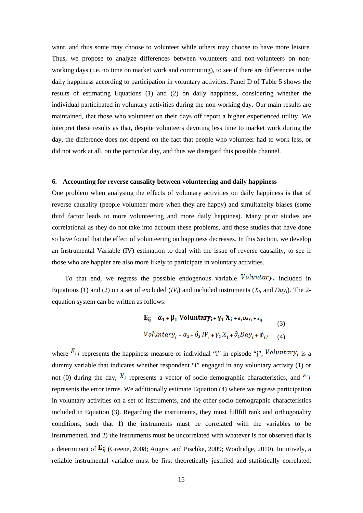want, and thus some may choose to volunteer while others may choose to have more leisure. Thus, we propose to analyze differences between volunteers and non-volunteers on nonworking days (i.e. no time on market work and commuting), to see if there are differences in the daily happiness according to participation in voluntary activities. Panel D of Table 5 shows the results of estimating Equations (1) and (2) on daily happiness, considering whether the individual participated in voluntary activities during the non-working day. Our main results are maintained, that those who volunteer on their days off report a higher experienced utility. We interpret these results as that, despite volunteers devoting less time to market work during the day, the difference does not depend on the fact that people who volunteer had to work less, or did not work at all, on the particular day, and thus we disregard this possible channel.

#### **6. Accounting for reverse causality between volunteering and daily happiness**

One problem when analysing the effects of voluntary activities on daily happiness is that of reverse causality (people volunteer more when they are happy) and simultaneity biases (some third factor leads to more volunteering and more daily happines). Many prior studies are correlational as they do not take into account these problems, and those studies that have done so have found that the effect of volunteering on happiness decreases. In this Section, we develop an Instrumental Variable (IV) estimation to deal with the issue of reverse causality, to see if those who are happier are also more likely to participate in voluntary activities.

To that end, we regress the possible endogenous variable  $Voluntary_i$  included in Equations (1) and (2) on a set of excluded ( $IV_i$ ) and included instruments ( $X_i$ , and  $Day_i$ ). The 2equation system can be written as follows:

$$
\mathbf{E}_{ij} = \alpha_1 + \beta_1 \text{ Voluntary}_i + \gamma_1 X_i + \delta_1 \mathbf{D}_{ay_i} + \epsilon_{ij}
$$
  
(3)  
Voluntary<sub>i</sub> =  $\alpha_2 + \beta_2 IV_i + \gamma_2 X_i + \partial_2 Day_i + \phi_{ij}$  (4)

where  $E_{ij}$  represents the happiness measure of individual "i" in episode "j",  $Voluntary_{i}$  is a dummy variable that indicates whether respondent "i" engaged in any voluntary activity (1) or not (0) during the day,  $X_i$  represents a vector of socio-demographic characteristics, and  $\varepsilon_{ij}$ represents the error terms. We additionally estimate Equation (4) where we regress participation in voluntary activities on a set of instruments, and the other socio-demographic characteristics included in Equation (3). Regarding the instruments, they must fullfill rank and orthogonality conditions, such that 1) the instruments must be correlated with the variables to be instrumented, and 2) the instruments must be uncorrelated with whatever is not observed that is a determinant of  $E_{ij}$  (Greene, 2008; Angrist and Pischke, 2009; Woolridge, 2010). Intuitively, a reliable instrumental variable must be first theoretically justified and statistically correlated,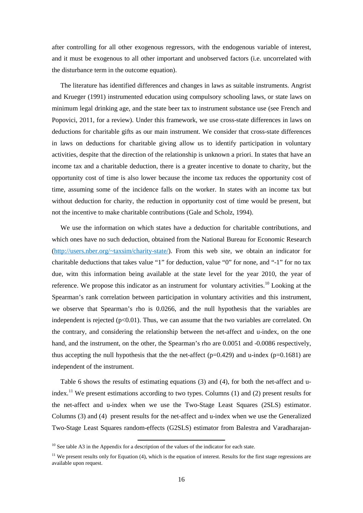after controlling for all other exogenous regressors, with the endogenous variable of interest, and it must be exogenous to all other important and unobserved factors (i.e. uncorrelated with the disturbance term in the outcome equation).

The literature has identified differences and changes in laws as suitable instruments. Angrist and Krueger (1991) instrumented education using compulsory schooling laws, or state laws on minimum legal drinking age, and the state beer tax to instrument substance use (see French and Popovici, 2011, for a review). Under this framework, we use cross-state differences in laws on deductions for charitable gifts as our main instrument. We consider that cross-state differences in laws on deductions for charitable giving allow us to identify participation in voluntary activities, despite that the direction of the relationship is unknown a priori. In states that have an income tax and a charitable deduction, there is a greater incentive to donate to charity, but the opportunity cost of time is also lower because the income tax reduces the opportunity cost of time, assuming some of the incidence falls on the worker. In states with an income tax but without deduction for charity, the reduction in opportunity cost of time would be present, but not the incentive to make charitable contributions (Gale and Scholz, 1994).

We use the information on which states have a deduction for charitable contributions, and which ones have no such deduction, obtained from the National Bureau for Economic Research [\(http://users.nber.org/~taxsim/charity-state/\)](http://users.nber.org/~taxsim/charity-state/). From this web site, we obtain an indicator for charitable deductions that takes value "1" for deduction, value "0" for none, and "-1" for no tax due, witn this information being available at the state level for the year 2010, the year of reference. We propose this indicator as an instrument for voluntary activities.<sup>[10](#page-16-0)</sup> Looking at the Spearman's rank correlation between participation in voluntary activities and this instrument, we observe that Spearman's rho is 0.0266, and the null hypothesis that the variables are independent is rejected  $(p<0.01)$ . Thus, we can assume that the two variables are correlated. On the contrary, and considering the relationship between the net-affect and u-index, on the one hand, and the instrument, on the other, the Spearman's rho are  $0.0051$  and  $-0.0086$  respectively, thus accepting the null hypothesis that the the net-affect ( $p=0.429$ ) and u-index ( $p=0.1681$ ) are independent of the instrument.

Table 6 shows the results of estimating equations (3) and (4), for both the net-affect and u-index.<sup>[11](#page-18-0)</sup> We present estimations according to two types. Columns (1) and (2) present results for the net-affect and u-index when we use the Two-Stage Least Squares (2SLS) estimator. Columns (3) and (4) present results for the net-affect and u-index when we use the Generalized Two-Stage Least Squares random-effects (G2SLS) estimator from Balestra and Varadharajan-

 $\overline{\phantom{a}}$ 

<span id="page-18-1"></span> $10$  See table A3 in the Appendix for a description of the values of the indicator for each state.

<span id="page-18-0"></span> $11$  We present results only for Equation (4), which is the equation of interest. Results for the first stage regressions are available upon request.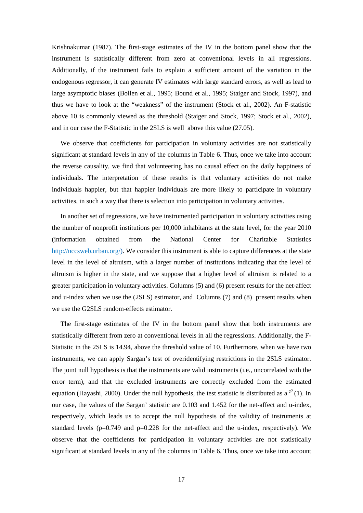Krishnakumar (1987). The first-stage estimates of the IV in the bottom panel show that the instrument is statistically different from zero at conventional levels in all regressions. Additionally, if the instrument fails to explain a sufficient amount of the variation in the endogenous regressor, it can generate IV estimates with large standard errors, as well as lead to large asymptotic biases (Bollen et al., 1995; Bound et al., 1995; Staiger and Stock, 1997), and thus we have to look at the "weakness" of the instrument (Stock et al., 2002). An F-statistic above 10 is commonly viewed as the threshold (Staiger and Stock, 1997; Stock et al., 2002), and in our case the F-Statistic in the 2SLS is well above this value (27.05).

We observe that coefficients for participation in voluntary activities are not statistically significant at standard levels in any of the columns in Table 6. Thus, once we take into account the reverse causality, we find that volunteering has no causal effect on the daily happiness of individuals. The interpretation of these results is that voluntary activities do not make individuals happier, but that happier individuals are more likely to participate in voluntary activities, in such a way that there is selection into participation in voluntary activities.

In another set of regressions, we have instrumented participation in voluntary activities using the number of nonprofit institutions per 10,000 inhabitants at the state level, for the year 2010 (information obtained from the National Center for Charitable Statistics [http://nccsweb.urban.org/\).](http://nccsweb.urban.org/)) We consider this instrument is able to capture differences at the state level in the level of altruism, with a larger number of institutions indicating that the level of altruism is higher in the state, and we suppose that a higher level of altruism is related to a greater participation in voluntary activities. Columns (5) and (6) present results for the net-affect and u-index when we use the (2SLS) estimator, and Columns (7) and (8) present results when we use the G2SLS random-effects estimator.

The first-stage estimates of the IV in the bottom panel show that both instruments are statistically different from zero at conventional levels in all the regressions. Additionally, the F-Statistic in the 2SLS is 14.94, above the threshold value of 10. Furthermore, when we have two instruments, we can apply Sargan's test of overidentifying restrictions in the 2SLS estimator. The joint null hypothesis is that the instruments are valid instruments (i.e., uncorrelated with the error term), and that the excluded instruments are correctly excluded from the estimated equation (Hayashi, 2000). Under the null hypothesis, the test statistic is distributed as a  $\chi^2(1)$ . In our case, the values of the Sargan' statistic are 0.103 and 1.452 for the net-affect and u-index, respectively, which leads us to accept the null hypothesis of the validity of instruments at standard levels ( $p=0.749$  and  $p=0.228$  for the net-affect and the u-index, respectively). We observe that the coefficients for participation in voluntary activities are not statistically significant at standard levels in any of the columns in Table 6. Thus, once we take into account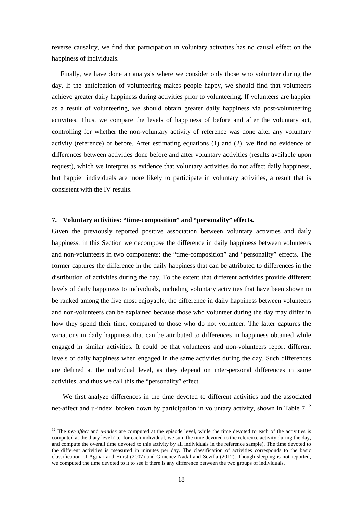reverse causality, we find that participation in voluntary activities has no causal effect on the happiness of individuals.

Finally, we have done an analysis where we consider only those who volunteer during the day. If the anticipation of volunteering makes people happy, we should find that volunteers achieve greater daily happiness during activities prior to volunteering. If volunteers are happier as a result of volunteering, we should obtain greater daily happiness via post-volunteering activities. Thus, we compare the levels of happiness of before and after the voluntary act, controlling for whether the non-voluntary activity of reference was done after any voluntary activity (reference) or before. After estimating equations (1) and (2), we find no evidence of differences between activities done before and after voluntary activities (results available upon request), which we interpret as evidence that voluntary activities do not affect daily happiness, but happier individuals are more likely to participate in voluntary activities, a result that is consistent with the IV results.

#### **7. Voluntary activities: "time-composition" and "personality" effects.**

Given the previously reported positive association between voluntary activities and daily happiness, in this Section we decompose the difference in daily happiness between volunteers and non-volunteers in two components: the "time-composition" and "personality" effects. The former captures the difference in the daily happiness that can be attributed to differences in the distribution of activities during the day. To the extent that different activities provide different levels of daily happiness to individuals, including voluntary activities that have been shown to be ranked among the five most enjoyable, the difference in daily happiness between volunteers and non-volunteers can be explained because those who volunteer during the day may differ in how they spend their time, compared to those who do not volunteer. The latter captures the variations in daily happiness that can be attributed to differences in happiness obtained while engaged in similar activities. It could be that volunteers and non-volunteers report different levels of daily happiness when engaged in the same activities during the day. Such differences are defined at the individual level, as they depend on inter-personal differences in same activities, and thus we call this the "personality" effect.

We first analyze differences in the time devoted to different activities and the associated net-affect and u-index, broken down by participation in voluntary activity, shown in Table  $7<sup>12</sup>$  $7<sup>12</sup>$  $7<sup>12</sup>$ 

<span id="page-20-0"></span><sup>&</sup>lt;sup>12</sup> The *net-affect* and *u-index* are computed at the episode level, while the time devoted to each of the activities is computed at the diary level (i.e. for each individual, we sum the time devoted to the reference activity during the day, and compute the overall time devoted to this activity by all individuals in the reference sample). The time devoted to the different activities is measured in minutes per day. The classification of activities corresponds to the basic classification of Aguiar and Hurst (2007) and Gimenez-Nadal and Sevilla (2012). Though sleeping is not reported, we computed the time devoted to it to see if there is any difference between the two groups of individuals.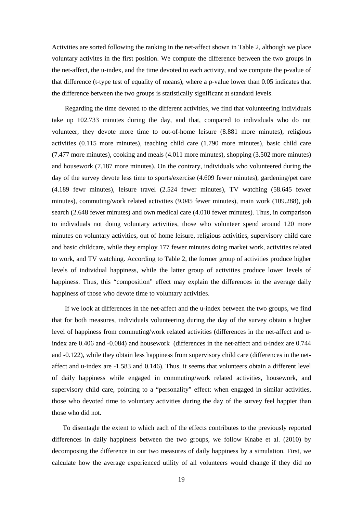Activities are sorted following the ranking in the net-affect shown in Table 2, although we place voluntary activites in the first position. We compute the difference between the two groups in the net-affect, the u-index, and the time devoted to each activity, and we compute the p-value of that difference (t-type test of equality of means), where a p-value lower than 0.05 indicates that the difference between the two groups is statistically significant at standard levels.

Regarding the time devoted to the different activities, we find that volunteering individuals take up 102.733 minutes during the day, and that, compared to individuals who do not volunteer, they devote more time to out-of-home leisure (8.881 more minutes), religious activities (0.115 more minutes), teaching child care (1.790 more minutes), basic child care (7.477 more minutes), cooking and meals (4.011 more minutes), shopping (3.502 more minutes) and housework (7.187 more minutes). On the contrary, individuals who volunteered during the day of the survey devote less time to sports/exercise (4.609 fewer minutes), gardening/pet care (4.189 fewr minutes), leisure travel (2.524 fewer minutes), TV watching (58.645 fewer minutes), commuting/work related activities (9.045 fewer minutes), main work (109.288), job search (2.648 fewer minutes) and own medical care (4.010 fewer minutes). Thus, in comparison to individuals not doing voluntary activities, those who volunteer spend around 120 more minutes on voluntary activities, out of home leisure, religious activities, supervisory child care and basic childcare, while they employ 177 fewer minutes doing market work, activities related to work, and TV watching. According to Table 2, the former group of activities produce higher levels of individual happiness, while the latter group of activities produce lower levels of happiness. Thus, this "composition" effect may explain the differences in the average daily happiness of those who devote time to voluntary activities.

If we look at differences in the net-affect and the u-index between the two groups, we find that for both measures, individuals volunteering during the day of the survey obtain a higher level of happiness from commuting/work related activities (differences in the net-affect and uindex are 0.406 and -0.084) and housework (differences in the net-affect and u-index are 0.744 and -0.122), while they obtain less happiness from supervisory child care (differences in the netaffect and u-index are -1.583 and 0.146). Thus, it seems that volunteers obtain a different level of daily happiness while engaged in commuting/work related activities, housework, and supervisory child care, pointing to a "personality" effect: when engaged in similar activities, those who devoted time to voluntary activities during the day of the survey feel happier than those who did not.

To disentagle the extent to which each of the effects contributes to the previously reported differences in daily happiness between the two groups, we follow Knabe et al. (2010) by decomposing the difference in our two measures of daily happiness by a simulation. First, we calculate how the average experienced utility of all volunteers would change if they did no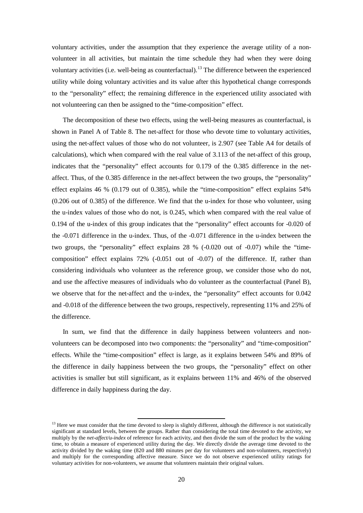voluntary activities, under the assumption that they experience the average utility of a nonvolunteer in all activities, but maintain the time schedule they had when they were doing voluntary activities (i.e. well-being as counterfactual).<sup>[13](#page-20-0)</sup> The difference between the experienced utility while doing voluntary activities and its value after this hypothetical change corresponds to the "personality" effect; the remaining difference in the experienced utility associated with not volunteering can then be assigned to the "time-composition" effect.

The decomposition of these two effects, using the well-being measures as counterfactual, is shown in Panel A of Table 8. The net-affect for those who devote time to voluntary activities, using the net-affect values of those who do not volunteer, is 2.907 (see Table A4 for details of calculations), which when compared with the real value of 3.113 of the net-affect of this group, indicates that the "personality" effect accounts for 0.179 of the 0.385 difference in the netaffect. Thus, of the 0.385 difference in the net-affect between the two groups, the "personality" effect explains 46 % (0.179 out of 0.385), while the "time-composition" effect explains 54% (0.206 out of 0.385) of the difference. We find that the u-index for those who volunteer, using the u-index values of those who do not, is 0.245, which when compared with the real value of 0.194 of the u-index of this group indicates that the "personality" effect accounts for -0.020 of the -0.071 difference in the u-index. Thus, of the -0.071 difference in the u-index between the two groups, the "personality" effect explains 28 % (-0.020 out of -0.07) while the "timecomposition" effect explains 72% (-0.051 out of -0.07) of the difference. If, rather than considering individuals who volunteer as the reference group, we consider those who do not, and use the affective measures of individuals who do volunteer as the counterfactual (Panel B), we observe that for the net-affect and the u-index, the "personality" effect accounts for 0.042 and -0.018 of the difference between the two groups, respectively, representing 11% and 25% of the difference.

In sum, we find that the difference in daily happiness between volunteers and nonvolunteers can be decomposed into two components: the "personality" and "time-composition" effects. While the "time-composition" effect is large, as it explains between 54% and 89% of the difference in daily happiness between the two groups, the "personality" effect on other activities is smaller but still significant, as it explains between 11% and 46% of the observed difference in daily happiness during the day.

<sup>&</sup>lt;sup>13</sup> Here we must consider that the time devoted to sleep is slightly different, although the difference is not statistically significant at standard levels, between the groups. Rather than considering the total time devoted to the activity, we multiply by the *net-affect/u-index* of reference for each activity, and then divide the sum of the product by the waking time, to obtain a measure of experienced utility during the day. We directly divide the average time devoted to the activity divided by the waking time (820 and 880 minutes per day for volunteers and non-volunteers, respectively) and multiply for the corresponding affective measure. Since we do not observe experienced utility ratings for voluntary activities for non-volunteers, we assume that volunteers maintain their original values.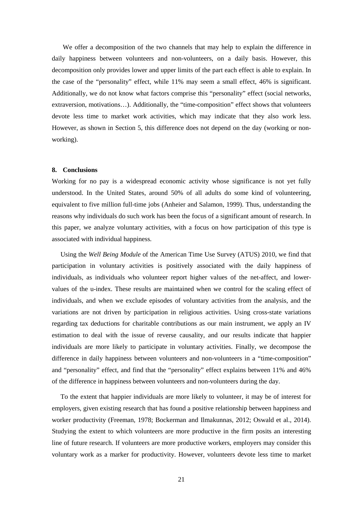We offer a decomposition of the two channels that may help to explain the difference in daily happiness between volunteers and non-volunteers, on a daily basis. However, this decomposition only provides lower and upper limits of the part each effect is able to explain. In the case of the "personality" effect, while 11% may seem a small effect, 46% is significant. Additionally, we do not know what factors comprise this "personality" effect (social networks, extraversion, motivations…). Additionally, the "time-composition" effect shows that volunteers devote less time to market work activities, which may indicate that they also work less. However, as shown in Section 5, this difference does not depend on the day (working or nonworking).

#### **8. Conclusions**

Working for no pay is a widespread economic activity whose significance is not yet fully understood. In the United States, around 50% of all adults do some kind of volunteering, equivalent to five million full-time jobs (Anheier and Salamon, 1999). Thus, understanding the reasons why individuals do such work has been the focus of a significant amount of research. In this paper, we analyze voluntary activities, with a focus on how participation of this type is associated with individual happiness.

Using the *Well Being Module* of the American Time Use Survey (ATUS) 2010, we find that participation in voluntary activities is positively associated with the daily happiness of individuals, as individuals who volunteer report higher values of the net-affect, and lowervalues of the u-index. These results are maintained when we control for the scaling effect of individuals, and when we exclude episodes of voluntary activities from the analysis, and the variations are not driven by participation in religious activities. Using cross-state variations regarding tax deductions for charitable contributions as our main instrument, we apply an IV estimation to deal with the issue of reverse causality, and our results indicate that happier individuals are more likely to participate in voluntary activities. Finally, we decompose the difference in daily happiness between volunteers and non-volunteers in a "time-composition" and "personality" effect, and find that the "personality" effect explains between 11% and 46% of the difference in happiness between volunteers and non-volunteers during the day.

To the extent that happier individuals are more likely to volunteer, it may be of interest for employers, given existing research that has found a positive relationship between happiness and worker productivity (Freeman, 1978; Bockerman and Ilmakunnas, 2012; Oswald et al., 2014). Studying the extent to which volunteers are more productive in the firm posits an interesting line of future research. If volunteers are more productive workers, employers may consider this voluntary work as a marker for productivity. However, volunteers devote less time to market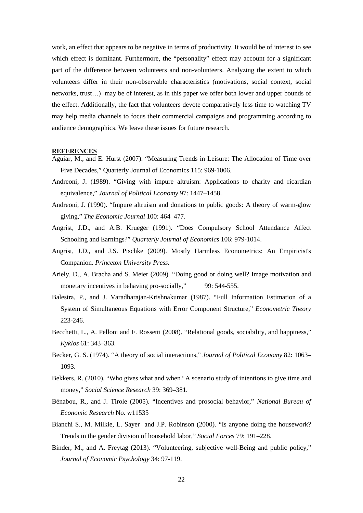work, an effect that appears to be negative in terms of productivity. It would be of interest to see which effect is dominant. Furthermore, the "personality" effect may account for a significant part of the difference between volunteers and non-volunteers. Analyzing the extent to which volunteers differ in their non-observable characteristics (motivations, social context, social networks, trust…) may be of interest, as in this paper we offer both lower and upper bounds of the effect. Additionally, the fact that volunteers devote comparatively less time to watching TV may help media channels to focus their commercial campaigns and programming according to audience demographics. We leave these issues for future research.

#### **REFERENCES**

- Aguiar, M., and E. Hurst (2007). "Measuring Trends in Leisure: The Allocation of Time over Five Decades," Quarterly Journal of Economics 115: 969-1006.
- Andreoni, J. (1989). "Giving with impure altruism: Applications to charity and ricardian equivalence," *Journal of Political Economy* 97: 1447–1458.
- Andreoni, J. (1990). "Impure altruism and donations to public goods: A theory of warm-glow giving," *The Economic Journal* 100: 464–477.
- Angrist, J.D., and A.B. Krueger (1991). "Does Compulsory School Attendance Affect Schooling and Earnings?" *Quarterly Journal of Economics* 106: 979-1014.
- Angrist, J.D., and J.S. Pischke (2009). Mostly Harmless Econometrics: An Empiricist's Companion. *Princeton University Press*.
- Ariely, D., A. Bracha and S. Meier (2009). "Doing good or doing well? Image motivation and monetary incentives in behaving pro-socially," 99: 544-555.
- Balestra, P., and J. Varadharajan-Krishnakumar (1987). "Full Information Estimation of a System of Simultaneous Equations with Error Component Structure," *Econometric Theory* 223-246.
- Becchetti, L., A. Pelloni and F. Rossetti (2008). "Relational goods, sociability, and happiness," *Kyklos* 61: 343–363.
- Becker, G. S. (1974). "A theory of social interactions," *Journal of Political Economy* 82: 1063– 1093.
- Bekkers, R. (2010). "Who gives what and when? A scenario study of intentions to give time and money," *Social Science Research* 39: 369–381.
- Bénabou, R., and J. Tirole (2005). "Incentives and prosocial behavior," *National Bureau of Economic Research* No. w11535
- Bianchi S., M. Milkie, L. Sayer and J.P. Robinson (2000). "Is anyone doing the housework? Trends in the gender division of household labor," *Social Forces* 79: 191–228.
- Binder, M., and A. Freytag (2013). "Volunteering, subjective well-Being and public policy," *Journal of Economic Psychology* 34: 97-119.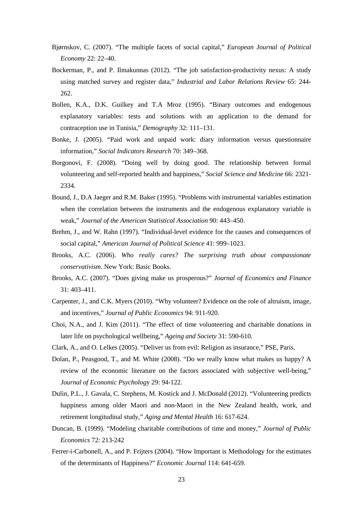- Bjørnskov, C. (2007). "The multiple facets of social capital," *European Journal of Political Economy* 22: 22–40.
- Bockerman, P., and P. Ilmakunnas (2012). "The job satisfaction-productivity nexus: A study using matched survey and register data," *Industrial and Labor Relations Review* 65: 244- 262.
- Bollen, K.A., D.K. Guilkey and T.A Mroz (1995). "Binary outcomes and endogenous explanatory variables: tests and solutions with an application to the demand for contraception use in Tunisia," *Demography* 32: 111–131.
- Bonke, J. (2005). "Paid work and unpaid work: diary information versus questionnaire information," *Social Indicators Research* 70: 349–368.
- Borgonovi, F. (2008). "Doing well by doing good. The relationship between formal volunteering and self-reported health and happiness," *Social Science and Medicine* 66: 2321- 2334.
- Bound, J., D.A Jaeger and R.M. Baker (1995). "Problems with instrumental variables estimation when the correlation between the instruments and the endogenous explanatory variable is weak," *Journal of the American Statistical Association* 90: 443–450.
- Brehm, J., and W. Rahn (1997). "Individual-level evidence for the causes and consequences of social capital," *American Journal of Political Science* 41: 999–1023.
- Brooks, A.C. (2006). *Who really cares? The surprising truth about compassionate conservativism*. New York: Basic Books.
- Brooks, A.C. (2007). "Does giving make us prosperous?" *Journal of Economics and Finance* 31: 403–411.
- Carpenter, J., and C.K. Myers (2010). "Why volunteer? Evidence on the role of altruism, image, and incentives," *Journal of Public Economics* 94: 911-920.
- Choi, N.A., and J. Kim (2011). "The effect of time volunteering and charitable donations in later life on psychological wellbeing," *Ageing and Society* 31: 590-610.
- Clark, A., and O. Lelkes (2005). "Deliver us from evil: Religion as insurance," PSE, Paris.
- Dolan, P., Peasgood, T., and M. White (2008). "Do we really know what makes us happy? A review of the economic literature on the factors associated with subjective well-being," *Journal of Economic Psycholog*y 29: 94-122.
- Dulin, P.L., J. Gavala, C. Stephens, M. Kostick and J. McDonald (2012). "Volunteering predicts happiness among older Maori and non-Maori in the New Zealand health, work, and retirement longitudinal study," *Aging and Mental Health* 16: 617-624.
- Duncan, B. (1999). "Modeling charitable contributions of time and money," *Journal of Public Economics* 72: 213-242
- Ferrer-i-Carbonell, A., and P. Frijters (2004). ["How Important is Methodology for the estimates](http://ideas.repec.org/a/ecj/econjl/v114y2004i497p641-659.html)  [of the determinants of Happiness?"](http://ideas.repec.org/a/ecj/econjl/v114y2004i497p641-659.html) *[Economic Journal](http://ideas.repec.org/s/ecj/econjl.html)* 114: 641-659.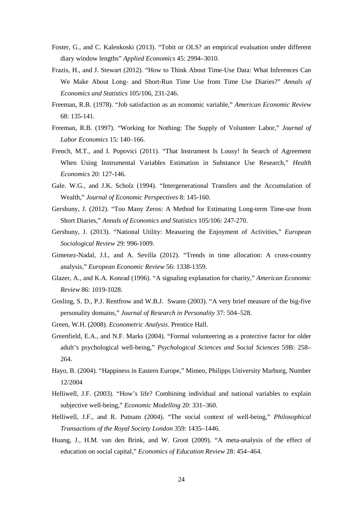- Foster, G., and C. Kalenkoski (2013). "Tobit or OLS? an empirical evaluation under different diary window lengths" *Applied Economics* 45: 2994–3010.
- Frazis, H., and J. Stewart (2012). "How to Think About Time-Use Data: What Inferences Can We Make About Long- and Short-Run Time Use from Time Use Diaries?" *Annals of Economics and Statistics* 105/106, 231-246.
- Freeman, R.B. (1978). "Job satisfaction as an economic variable," *American Economic Review* 68: 135-141.
- Freeman, R.B. (1997). "Working for Nothing: The Supply of Volunteer Labor," *Journal of Labor Economics* 15: 140–166.
- French, M.T., and I. Popovici (2011). "That Instrument Is Lousy! In Search of Agreement When Using Instrumental Variables Estimation in Substance Use Research," *Health Economics* 20: 127-146.
- Gale. W.G., and J.K. Scholz (1994). ["Intergenerational Transfers and the Accumulation of](http://ideas.repec.org/a/aea/jecper/v8y1994i4p145-60.html)  [Wealth,](http://ideas.repec.org/a/aea/jecper/v8y1994i4p145-60.html)" *[Journal of Economic Perspectives](http://ideas.repec.org/s/aea/jecper.html)* 8: 145-160.
- Gershuny, J. (2012). "Too Many Zeros: A Method for Estimating Long-term Time-use from Short Diaries," *Annals of Economics and Statistics* 105/106: 247-270.
- Gershuny, J. (2013). "National Utility: Measuring the Enjoyment of Activities," *European Sociological Review* 29: 996-1009.
- Gimenez-Nadal, J.I., and A. Sevilla (2012). "Trends in time allocation: A cross-country analysis," *European Economic Review* 56: 1338-1359.
- Glazer, A., and K.A. Konrad (1996). "A signaling explanation for charity," *American Economic Review* 86: 1019-1028.
- Gosling, S. D., P.J. Rentfrow and W.B.J. Swann (2003). "A very brief measure of the big-five personality domains," *Journal of Research in Personality* 37: 504–528.
- Green, W.H. (2008). *Econometric Analysis*. Prentice Hall.
- Greenfield, E.A., and N.F. Marks (2004). "Formal volunteering as a protective factor for older adult's psychological well-being," *Psychological Sciences and Social Sciences* 59B: 258– 264.
- Hayo, B. (2004). "Happiness in Eastern Europe," Mimeo, Philipps University Marburg, Number 12/2004
- Helliwell, J.F. (2003). "How's life? Combining individual and national variables to explain subjective well-being," *Economic Modelling* 20: 331–360.
- Helliwell, J.F., and R. Putnam (2004). "The social context of well-being," *Philosophical Transactions of the Royal Society London* 359: 1435–1446.
- Huang, J., H.M. van den Brink, and W. Groot (2009). "A meta-analysis of the effect of education on social capital," *Economics of Education Review* 28: 454–464.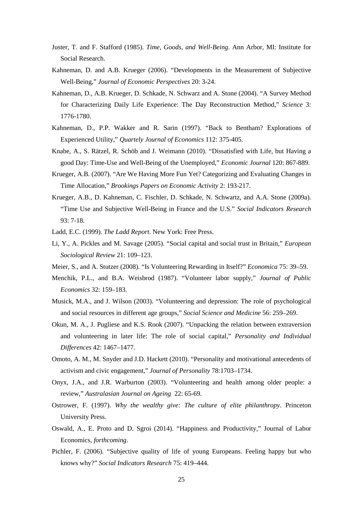- Juster, T. and F. Stafford (1985). *Time, Goods, and Well-Being*. Ann Arbor, MI: Institute for Social Research.
- Kahneman, D. and A.B. Krueger (2006). "Developments in the Measurement of Subjective Well-Being," *Journal of Economic Perspectives* 20: 3-24.
- Kahneman, D., A.B. Krueger, D. Schkade, N. Schwarz and A. Stone (2004). "A Survey Method for Characterizing Daily Life Experience: The Day Reconstruction Method," *Science* 3: 1776-1780.
- Kahneman, D., P.P. Wakker and R. Sarin (1997). "Back to Bentham? Explorations of Experienced Utility," *Quartely Journal of Economics* 112: 375-405.
- Knabe, A., S. Rätzel, R. Schöb and J. Weimann (2010). "Dissatisfied with Life, but Having a good Day: Time-Use and Well-Being of the Unemployed," *Economic Journal* 120: 867-889.
- Krueger, A.B. (2007). "Are We Having More Fun Yet? Categorizing and Evaluating Changes in Time Allocation," *Brookings Papers on Economic Activity* 2: 193-217.
- Krueger, A.B., D. Kahneman, C. Fischler, D. Schkade, N. Schwartz, and A.A. Stone (2009a). "Time Use and Subjective Well-Being in France and the U.S." *Social Indicators Research* 93: 7-18.
- Ladd, E.C. (1999). *The Ladd Report*. New York: Free Press.
- Li, Y., A. Pickles and M. Savage (2005). "Social capital and social trust in Britain," *European Sociological Review* 21: 109–123.
- Meier, S., and A. Stutzer (2008). "Is Volunteering Rewarding in Itself?" *Economica* 75: 39–59.
- Menchik, P.L., and B.A. Weisbrod (1987). "Volunteer labor supply," *Journal of Public Economics* 32: 159–183.
- Musick, M.A., and J. Wilson (2003). "Volunteering and depression: The role of psychological and social resources in different age groups," *Social Science and Medicine* 56: 259–269.
- Okun, M. A., J. Pugliese and K.S. Rook (2007). "Unpacking the relation between extraversion and volunteering in later life: The role of social capital," *Personality and Individual Differences* 42: 1467–1477.
- Omoto, A. M., M. Snyder and J.D. Hackett (2010). "Personality and motivational antecedents of activism and civic engagement," *Journal of Personality* 78:1703–1734.
- [Onyx, J.A.,](http://www.uts.edu.au/staff/jennifer.onyx) and J.R. Warburton (2003). "Volunteering and health among older people: a review," *Australasian Journal on Ageing* 22: 65-69.
- Ostrower, F. (1997). *Why the wealthy give: The culture of elite philanthropy*. Princeton University Press.
- Oswald, A., E. Proto and D. Sgroi (2014). "Happiness and Productivity," Journal of Labor Economics, *forthcoming*.
- Pichler, F. (2006). "Subjective quality of life of young Europeans. Feeling happy but who knows why?" *Social Indicators Research* 75: 419–444.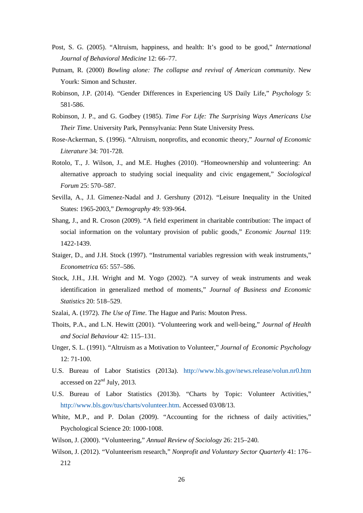- Post, S. G. (2005). "Altruism, happiness, and health: It's good to be good," *International Journal of Behavioral Medicine* 12: 66–77.
- Putnam, R. (2000) *Bowling alone: The collapse and revival of American community*. New Yourk: Simon and Schuster.
- Robinson, J.P. (2014). "Gender Differences in Experiencing US Daily Life," *Psychology* 5: 581-586.
- Robinson, J. P., and G. Godbey (1985). *Time For Life: The Surprising Ways Americans Use Their Time*. University Park, Pennsylvania: Penn State University Press.
- Rose-Ackerman, S. (1996). "Altruism, nonprofits, and economic theory," *Journal of Economic Literature* 34: 701-728.
- Rotolo, T., J. Wilson, J., and M.E. Hughes (2010). "Homeownership and volunteering: An alternative approach to studying social inequality and civic engagement," *Sociological Forum* 25: 570–587.
- Sevilla, A., J.I. Gimenez-Nadal and J. Gershuny (2012). "Leisure Inequality in the United States: 1965-2003," *Demography* 49: 939-964.
- Shang, J., and R. Croson (2009). "A field experiment in charitable contribution: The impact of social information on the voluntary provision of public goods," *Economic Journal* 119: 1422-1439.
- Staiger, D., and J.H. Stock (1997). "Instrumental variables regression with weak instruments," *Econometrica* 65: 557–586.
- Stock, J.H., J.H. Wright and M. Yogo (2002). "A survey of weak instruments and weak identification in generalized method of moments," *Journal of Business and Economic Statistics* 20: 518–529.
- Szalai, A. (1972). *The Use of Time*. The Hague and Paris: Mouton Press.
- Thoits, P.A., and L.N. Hewitt (2001). "Volunteering work and well-being," *Journal of Health and Social Behaviour* 42: 115–131.
- Unger, S. L. (1991). "Altruism as a Motivation to Volunteer," *Journal of Economic Psychology* 12: 71-100.
- U.S. Bureau of Labor Statistics (2013a). <http://www.bls.gov/news.release/volun.nr0.htm> accessed on 22nd July, 2013.
- U.S. Bureau of Labor Statistics (2013b). "Charts by Topic: Volunteer Activities," [http://www.bls.gov/tus/charts/volunteer.htm.](http://www.bls.gov/tus/charts/volunteer.htm) Accessed 03/08/13.
- White, M.P., and P. Dolan (2009). "Accounting for the richness of daily activities," Psychological Science 20: 1000-1008.
- Wilson, J. (2000). "Volunteering," *Annual Review of Sociology* 26: 215–240.
- Wilson, J. (2012). "Volunteerism research," *Nonprofit and Voluntary Sector Quarterly* 41: 176– 212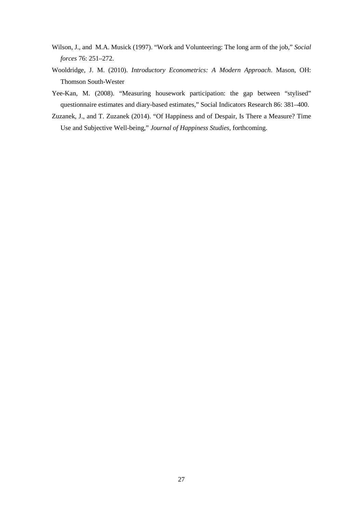- Wilson, J., and M.A. Musick (1997). "Work and Volunteering: The long arm of the job," *Social forces* 76: 251–272.
- Wooldridge, J. M. (2010). *Introductory Econometrics: A Modern Approach*. Mason, OH: Thomson South-Wester
- Yee-Kan, M. (2008). "Measuring housework participation: the gap between "stylised" questionnaire estimates and diary-based estimates," Social Indicators Research 86: 381–400.
- Zuzanek, J., and T. Zuzanek (2014). "Of Happiness and of Despair, Is There a Measure? Time Use and Subjective Well-being," *Journal of Happiness Studies*, forthcoming.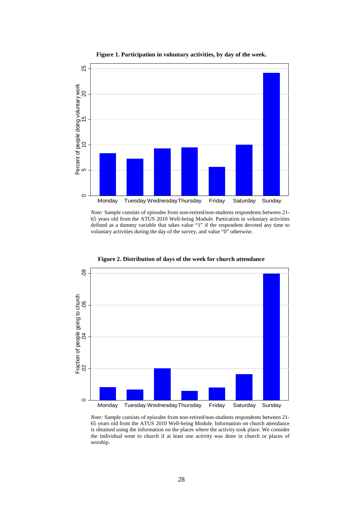

**Figure 1. Participation in voluntary activities, by day of the week.**

*Note:* Sample consists of episodes from non-retired/non-students respondents between 21- 65 years old from the ATUS 2010 Well-being Module. Partication in voluntary activities defined as a dummy variable that takes value "1" if the respondent devoted any time to voluntary activities during the day of the survey, and value "0" otherwise.



**Figure 2. Distribution of days of the week for church attendance**

*Note:* Sample consists of episodes from non-retired/non-students respondents between 21- 65 years old from the ATUS 2010 Well-being Module. Information on church attendance is obtained using the information on the places where the activity took place. We consider the individual went to church if at least one activity was done in church or places of worship.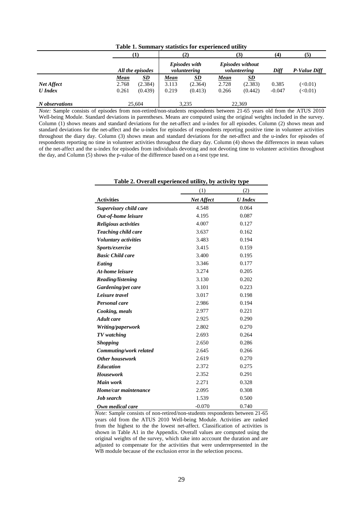| Table 1. Summary statistics for experienced utility |                      |                      |                               |                      |                                  |                      |          |              |  |
|-----------------------------------------------------|----------------------|----------------------|-------------------------------|----------------------|----------------------------------|----------------------|----------|--------------|--|
|                                                     | (1)                  |                      | (2)                           |                      | (3)                              |                      | (4)      | (5)          |  |
|                                                     |                      | All the episodes     | Episodes with<br>volunteering |                      | Episodes without<br>volunteering |                      | Diff     | P-Value Diff |  |
|                                                     | <u>Mean</u><br>2.768 | <u>SD</u><br>(2.384) | <u>Mean</u><br>3.113          | <u>SD</u><br>(2.364) | <u>Mean</u><br>2.728             | <u>SD</u><br>(2.383) | 0.385    | (<0.01)      |  |
| Net Affect<br><b>U</b> Index                        | 0.261                | (0.439)              | 0.219                         | (0.413)              | 0.266                            | (0.442)              | $-0.047$ | (<0.01)      |  |
| N observations                                      |                      | 25,604               | 3,235                         |                      | 22.369                           |                      |          |              |  |

*Note:* Sample consists of episodes from non-retired/non-students respondents between 21-65 years old from the ATUS 2010 Well-being Module. Standard deviations in parentheses. Means are computed using the original weights included in the survey. Column (1) shows means and standard deviations for the net-affect and u-index for all episodes. Column (2) shows mean and standard deviations for the net-affect and the u-index for episodes of respondents reporting positive time in volunteer activities throughout the diary day. Column (3) shows mean and standard deviations for the net-affect and the u-index for episodes of respondents reporting no time in volunteer activities throughout the diary day. Column (4) shows the differences in mean values of the net-affect and the u-index for episodes from individuals devoting and not devoting time to volunteer activities throughout the day, and Column (5) shows the p-value of the difference based on a t-test type test.

**Table 2. Overall experienced utility, by activity type**

| Table 2. Overall experienced dulity, by activity type |                   |                |  |  |  |  |  |  |
|-------------------------------------------------------|-------------------|----------------|--|--|--|--|--|--|
|                                                       | (1)               | (2)            |  |  |  |  |  |  |
| <b>Activities</b>                                     | <b>Net Affect</b> | <b>U</b> Index |  |  |  |  |  |  |
| <b>Supervisory child care</b>                         | 4.548             | 0.064          |  |  |  |  |  |  |
| Out-of-home leisure                                   | 4.195             | 0.087          |  |  |  |  |  |  |
| <b>Religious activities</b>                           | 4.007             | 0.127          |  |  |  |  |  |  |
| Teaching child care                                   | 3.637             | 0.162          |  |  |  |  |  |  |
| <b>Voluntary activities</b>                           | 3.483             | 0.194          |  |  |  |  |  |  |
| Sports/exercise                                       | 3.415             | 0.159          |  |  |  |  |  |  |
| <b>Basic Child care</b>                               | 3.400             | 0.195          |  |  |  |  |  |  |
| Eating                                                | 3.346             | 0.177          |  |  |  |  |  |  |
| At-home leisure                                       | 3.274             | 0.205          |  |  |  |  |  |  |
| Reading/listening                                     | 3.130             | 0.202          |  |  |  |  |  |  |
| Gardening/pet care                                    | 3.101             | 0.223          |  |  |  |  |  |  |
| Leisure travel                                        | 3.017             | 0.198          |  |  |  |  |  |  |
| <b>Personal care</b>                                  | 2.986             | 0.194          |  |  |  |  |  |  |
| Cooking, meals                                        | 2.977             | 0.221          |  |  |  |  |  |  |
| <b>Adult</b> care                                     | 2.925             | 0.290          |  |  |  |  |  |  |
| Writing/paperwork                                     | 2.802             | 0.270          |  |  |  |  |  |  |
| TV watching                                           | 2.693             | 0.264          |  |  |  |  |  |  |
| <b>Shopping</b>                                       | 2.650             | 0.286          |  |  |  |  |  |  |
| Commuting/work related                                | 2.645             | 0.266          |  |  |  |  |  |  |
| <b>Other housework</b>                                | 2.619             | 0.270          |  |  |  |  |  |  |
| <b>Education</b>                                      | 2.372             | 0.275          |  |  |  |  |  |  |
| <b>Housework</b>                                      | 2.352             | 0.291          |  |  |  |  |  |  |
| <b>Main work</b>                                      | 2.271             | 0.328          |  |  |  |  |  |  |
| Home/car maintenance                                  | 2.095             | 0.308          |  |  |  |  |  |  |
| Job search                                            | 1.539             | 0.500          |  |  |  |  |  |  |
| Own medical care                                      | $-0.070$          | 0.740          |  |  |  |  |  |  |

*Note:* Sample consists of non-retired/non-students respondents between 21-65 years old from the ATUS 2010 Well-being Module. Activities are ranked from the highest to the the lowest net-affect. Classification of activities is shown in Table A1 in the Appendix. Overall values are computed using the original weights of the survey, which take into acccount the duration and are adjusted to compensate for the activities that were underrepresented in the WB module because of the exclusion error in the selection process.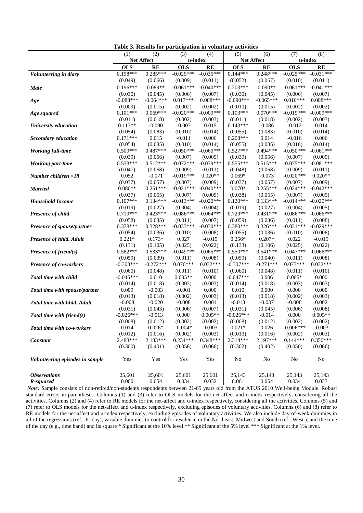|                                 | (1)              | (2)                    | (3)                 | (4)              | (5)              | (6)              | (7)              | (8)                   |
|---------------------------------|------------------|------------------------|---------------------|------------------|------------------|------------------|------------------|-----------------------|
|                                 |                  | Net Affect             | u-index             |                  |                  | Net Affect       | u-index          |                       |
|                                 | <b>OLS</b>       | <b>RE</b>              | <b>OLS</b>          | <b>RE</b>        | <b>OLS</b>       | <b>RE</b>        | <b>OLS</b>       | RE                    |
| Volunteering in diary           | $0.198***$       | $0.285***$             | $-0.029***$         | $-0.035***$      | $0.144***$       | $0.248***$       | $-0.025***$      | $-0.031***$           |
|                                 | (0.049)          | (0.066)                | (0.009)             | (0.011)          | (0.052)          | (0.067)          | (0.010)          | (0.011)               |
| <b>Male</b>                     | $0.196***$       | $0.089**$              | $-0.061***$         | $-0.040***$      | $0.203***$       | $0.090**$        | $-0.061***$      | $-0.041***$           |
|                                 | (0.030)          | (0.045)                | (0.006)             | (0.007)          | (0.030)          | (0.045)          | (0.006)          | (0.007)               |
| Age                             | $-0.088***$      | $-0.064***$            | $0.017***$          | $0.008***$       | $-0.090***$      | $-0.065***$      | $0.016***$       | $0.008***$            |
|                                 | (0.009)          | (0.015)                | (0.002)             | (0.002)          | (0.010)          | (0.015)          | (0.002)          | (0.002)               |
| Age squared                     | $0.101***$       | $0.069***$             | $-0.020***$         | $-0.009***$      | $0.103***$       | $0.070***$       | $-0.019***$      | $-0.009***$           |
|                                 | (0.011)          | (0.018)                | (0.002)             | (0.003)          | (0.011)          | (0.018)          | (0.002)          | (0.003)               |
| University education            | $0.113**$        | $-0.090$               | $-0.007$            | 0.015            | $0.143***$       | $-0.086$         | $-0.012$         | 0.014                 |
|                                 | (0.054)          | (0.083)                | (0.010)             | (0.014)          | (0.055)          | (0.083)          | (0.010)          | (0.014)               |
| Secondary education             | $0.171***$       | 0.015                  | $-0.011$            | 0.006            | $0.208***$       | 0.014            | $-0.016$         | 0.006                 |
|                                 | (0.054)          | (0.085)                | (0.010)             | (0.014)          | (0.055)          | (0.085)          | (0.010)          | (0.014)               |
| <b>Working full-time</b>        | $0.509***$       | $0.487***$             | $-0.050***$         | $-0.060***$      | $0.527***$       | $0.494***$       | $-0.050***$      | $-0.061***$           |
|                                 | (0.039)          | (0.056)                | (0.007)             | (0.009)          | (0.039)          | (0.056)          | (0.007)          | (0.009)               |
| <b>Working part-time</b>        | $0.533***$       | $0.512***$             | $-0.072***$         | $-0.079***$      | $0.555***$       | $0.515***$       | $-0.075***$      | $-0.081***$           |
|                                 | (0.047)          | (0.068)                | (0.009)             | (0.011)          | (0.048)          | (0.068)          | (0.009)          | (0.011)               |
| Number children <18             | 0.052            | $-0.071$               | $-0.019***$         | $0.020**$        | $0.069*$         | $-0.073$         | $-0.020***$      | $0.020**$             |
|                                 | (0.037)          | (0.057)                | (0.007)             | (0.009)          | (0.037)          | (0.057)          | (0.007)          | (0.009)               |
| <b>Married</b>                  | $0.080**$        | $0.251***$             | $-0.021***$         | $-0.040***$      | $0.070*$         | $0.255***$       | $-0.024***$      | $-0.042***$           |
|                                 | (0.037)          | (0.055)                | (0.007)             | (0.009)          | (0.038)          | (0.055)          | (0.007)          | (0.009)               |
| <b>Household Income</b>         | $0.107***$       | $0.134***$             | $-0.013***$         | $-0.020***$      | $0.120***$       | $0.133***$       | $-0.014***$      | $-0.020***$           |
|                                 | (0.019)          | (0.027)                | (0.004)             | (0.004)          | (0.019)          | (0.027)          | (0.004)          | (0.005)               |
| <b>Presence of child</b>        | $0.719***$       | $0.423***$             | $-0.086***$         | $-0.064***$      | $0.729***$       | $0.431***$       | $-0.086***$      | $-0.066***$           |
|                                 | (0.058)          | (0.035)                | (0.011)             | (0.007)          | (0.059)          | (0.036)          | (0.011)          | (0.008)               |
| Presence of spouse/partner      | $0.378***$       | $0.328***$             | $-0.033***$         | $-0.030***$      | $0.380***$       | $0.326***$       | $-0.031***$      | $-0.029***$           |
|                                 | (0.054)          | (0.036)                | (0.010)             | (0.008)          | (0.055)          | (0.036)          | (0.010)          | (0.008)               |
| Presence of hhld. Adult         | $0.221*$         | $0.173*$               | 0.027               | $-0.015$         | $0.256*$         | $0.207*$         | 0.022            | $-0.019$              |
|                                 | (0.131)          | (0.105)                | (0.025)             | (0.022)          | (0.133)          | (0.106)          | (0.025)          | (0.022)               |
| <b>Presence of friend(s)</b>    | $0.582***$       | $0.533***$             | $-0.049***$         | $-0.065***$      | $0.550***$       | $0.541***$       | $-0.047***$      | $-0.066***$           |
|                                 | (0.059)          | (0.039)<br>$-0.272***$ | (0.011)             | (0.008)          | (0.059)          | (0.040)          | (0.011)          | (0.008)<br>$0.032***$ |
| <b>Presence of co-workers</b>   | $-0.303***$      |                        | $0.076***$          | $0.032***$       | $-0.307***$      | $-0.271***$      | $0.073***$       |                       |
|                                 | (0.060)          | (0.048)                | (0.011)             | (0.010)          | (0.060)          | (0.048)          | (0.011)          | (0.010)               |
| Total time with child           | $-0.045***$      | 0.010                  | $0.005**$           | 0.000            | $-0.047***$      | 0.006            | $0.005*$         | 0.000                 |
|                                 | (0.014)<br>0.009 | (0.018)<br>$-0.003$    | (0.003)<br>$-0.001$ | (0.003)<br>0.000 | (0.014)<br>0.010 | (0.018)<br>0.000 | (0.003)<br>0.000 | (0.003)<br>0.000      |
| Total time with spouse/partner  | (0.013)          |                        | (0.002)             | (0.003)          | (0.013)          | (0.018)          | (0.002)          | (0.003)               |
| Total time with hhld. Adult     | $-0.008$         | (0.018)<br>$-0.020$    | $-0.008$            | 0.001            | $-0.013$         | $-0.037$         | $-0.008$         | 0.002                 |
|                                 | (0.031)          | (0.043)                | (0.006)             | (0.007)          | (0.031)          | (0.045)          | (0.006)          | (0.008)               |
| Total time with friend $(s)$    | $-0.026***$      | $-0.013$               | 0.000               | $0.005**$        | $-0.026***$      | $-0.014$         | 0.000            | $0.005**$             |
|                                 | (0.008)          | (0.012)                | (0.002)             | (0.002)          | (0.008)          | (0.012)          | (0.002)          | (0.002)               |
| Total time with co-workers      | 0.014            | $0.026*$               | $-0.004*$           | $-0.003$         | $0.021*$         | 0.026            | $-0.006***$      | $-0.003$              |
|                                 | (0.012)          | (0.016)                | (0.002)             | (0.003)          | (0.013)          | (0.016)          | (0.002)          | (0.003)               |
| Constant                        | 2.483***         | 2.183***               | $0.234***$          | $0.348***$       | 2.314***         | 2.197***         | $0.144***$       | $0.350***$            |
|                                 | (0.300)          | (0.401)                | (0.056)             | (0.066)          | (0.302)          | (0.402)          | (0.050)          | (0.066)               |
|                                 |                  |                        |                     |                  |                  |                  |                  |                       |
| Volunteering episodes in sample | Yes              | Yes                    | Yes                 | Yes              | No               | $\rm No$         | $\rm No$         | $\rm No$              |
|                                 |                  |                        |                     |                  |                  |                  |                  |                       |
| <b>Observations</b>             | 25,601           | 25,601                 | 25,601              | 25,601           | 25,143           | 25,143           | 25,143           | 25,143                |
| R-squared                       | 0.060            | 0.054                  | 0.034               | 0.032            | 0.061            | 0.054            | 0.034            | 0.033                 |

**Table 3. Results for participation in voluntary activities**

*Note:* Sample consists of non-retired/non-students respondents between 21-65 years old from the ATUS 2010 Well-being Module. Robust standard errors in parentheses. Columns (1) and (3) refer to OLS models for the net-affect and u-index respectively, considering all the activities. Columns (2) and (4) refer to RE models for the net-affect and u-index respectively, considering all the activities. Columns (5) and (7) refer to OLS models for the net-affect and u-index respectively, excluding episodes of voluntary activities. Columns (6) and (8) refer to RE models for the net-affect and u-index respectively, excluding episodes of voluntary activities. We also include day-of-week dummies in all of the regressions (ref.: Friday), variable dummies to control for residence in the Northeast, Midwest and South (ref.: West.), and the time of the day (e.g., time band) and its square \* Significant at the 10% level \*\* Significant at the 5% level \*\*\* Significant at the 1% level.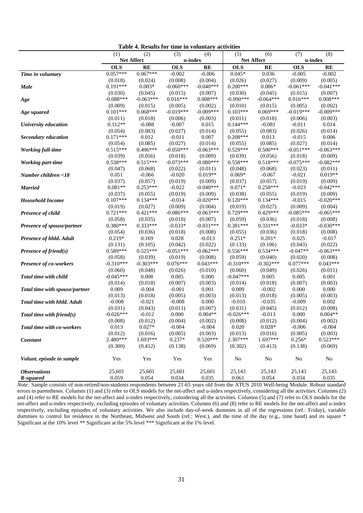| Table 4. Results for time in voluntary activities |             |             |             |             |             |             |             |             |  |
|---------------------------------------------------|-------------|-------------|-------------|-------------|-------------|-------------|-------------|-------------|--|
|                                                   | (1)         | (2)         | (3)         | (4)         | (5)         | (6)         | (7)         | (8)         |  |
|                                                   | Net Affect  |             | u-index     |             | Net Affect  |             | u-index     |             |  |
|                                                   | <b>OLS</b>  | <b>RE</b>   | <b>OLS</b>  | <b>RE</b>   | <b>OLS</b>  | <b>RE</b>   | <b>OLS</b>  | <b>RE</b>   |  |
| Time in voluntary                                 | $0.057***$  | $0.067***$  | $-0.002$    | $-0.006$    | $0.045*$    | 0.036       | $-0.005$    | $-0.002$    |  |
|                                                   | (0.018)     | (0.024)     | (0.008)     | (0.004)     | (0.026)     | (0.027)     | (0.009)     | (0.005)     |  |
| <b>Male</b>                                       | $0.191***$  | $0.083*$    | $-0.060***$ | $-0.040***$ | $0.200***$  | $0.086*$    | $-0.061***$ | $-0.041***$ |  |
|                                                   | (0.030)     | (0.045)     | (0.015)     | (0.007)     | (0.030)     | (0.045)     | (0.015)     | (0.007)     |  |
| Age                                               | $-0.088***$ | $-0.063***$ | $0.016***$  | $0.008***$  | $-0.090***$ | $-0.064***$ | $0.016***$  | $0.008***$  |  |
|                                                   | (0.009)     | (0.015)     | (0.005)     | (0.002)     | (0.010)     | (0.015)     | (0.005)     | (0.002)     |  |
| Age squared                                       | $0.101***$  | $0.068***$  | $-0.019***$ | $-0.009***$ | $0.103***$  | $0.069***$  | $-0.019***$ | $-0.009***$ |  |
|                                                   | (0.011)     | (0.018)     | (0.006)     | (0.003)     | (0.011)     | (0.018)     | (0.006)     | (0.003)     |  |
| University education                              | $0.112**$   | $-0.088$    | $-0.007$    | 0.015       | $0.144***$  | $-0.081$    | $-0.011$    | 0.014       |  |
|                                                   | (0.054)     | (0.083)     | (0.027)     | (0.014)     | (0.055)     | (0.083)     | (0.026)     | (0.014)     |  |
| <b>Secondary education</b>                        | $0.171***$  | 0.012       | $-0.011$    | 0.007       | $0.208***$  | 0.013       | $-0.015$    | 0.006       |  |
|                                                   | (0.054)     | (0.085)     | (0.027)     | (0.014)     | (0.055)     | (0.085)     | (0.027)     | (0.014)     |  |
| <b>Working full-time</b>                          | $0.515***$  | $0.496***$  | $-0.050***$ | $-0.063***$ | $0.529***$  | $0.500***$  | $-0.051***$ | $-0.063***$ |  |
|                                                   | (0.039)     | (0.056)     | (0.018)     | (0.009)     | (0.039)     | (0.056)     | (0.018)     | (0.009)     |  |
| <b>Working part-time</b>                          | $0.538***$  | $0.515***$  | $-0.073***$ | $-0.080***$ | $0.558***$  | $0.518***$  | $-0.075***$ | $-0.082***$ |  |
|                                                   | (0.047)     | (0.068)     | (0.022)     | (0.011)     | (0.048)     | (0.068)     | (0.023)     | (0.011)     |  |
| Number children <18                               | 0.051       | $-0.066$    | $-0.020$    | $0.019**$   | $0.069*$    | $-0.067$    | $-0.021$    | $0.019**$   |  |
|                                                   | (0.037)     | (0.057)     | (0.019)     | (0.009)     | (0.037)     | (0.057)     | (0.019)     | (0.009)     |  |
| <b>Married</b>                                    | $0.081**$   | $0.253***$  | $-0.022$    | $-0.040***$ | $0.071*$    | $0.258***$  | $-0.023$    | $-0.042***$ |  |
|                                                   | (0.037)     | (0.055)     | (0.019)     | (0.009)     | (0.038)     | (0.055)     | (0.019)     | (0.009)     |  |
| <b>Household Income</b>                           | $0.107***$  | $0.134***$  | $-0.014$    | $-0.020***$ | $0.120***$  | $0.134***$  | $-0.015$    | $-0.020***$ |  |
|                                                   | (0.019)     | (0.027)     | (0.009)     | (0.004)     | (0.019)     | (0.027)     | (0.009)     | (0.004)     |  |
| Presence of child                                 | $0.721***$  | $0.421***$  | $-0.086***$ | $-0.063***$ | $0.729***$  | $0.429***$  | $-0.085***$ | $-0.065***$ |  |
|                                                   | (0.058)     | (0.035)     | (0.018)     | (0.007)     | (0.059)     | (0.036)     | (0.018)     | (0.008)     |  |
| Presence of spouse/partner                        | $0.380***$  | $0.333***$  | $-0.033*$   | $-0.031***$ | $0.381***$  | $0.331***$  | $-0.033*$   | $-0.030***$ |  |
|                                                   | (0.054)     | (0.036)     | (0.018)     | (0.008)     | (0.055)     | (0.036)     | (0.018)     | (0.008)     |  |
| Presence of hhld. Adult                           | $0.219*$    | 0.169       | 0.028       | $-0.013$    | $0.251*$    | $0.201*$    | 0.025       | $-0.017$    |  |
|                                                   | (0.131)     | (0.105)     | (0.042)     | (0.022)     | (0.133)     | (0.106)     | (0.043)     | (0.022)     |  |
| Presence of friend $(s)$                          | $0.589***$  | $0.525***$  | $-0.051***$ | $-0.062***$ | $0.556***$  | $0.534***$  | $-0.047**$  | $-0.063***$ |  |
|                                                   | (0.058)     | (0.039)     | (0.019)     | (0.008)     | (0.059)     | (0.040)     | (0.020)     | (0.008)     |  |
| Presence of co-workers                            | $-0.310***$ | $-0.303***$ | $0.076***$  | $0.043***$  | $-0.310***$ | $-0.302***$ | $0.077***$  | $0.043***$  |  |
|                                                   | (0.060)     | (0.048)     | (0.026)     | (0.010)     | (0.060)     | (0.049)     | (0.026)     | (0.011)     |  |
| Total time with child                             | $-0.045***$ | 0.008       | 0.005       | 0.000       | $-0.047***$ | 0.005       | 0.005       | 0.001       |  |
|                                                   | (0.014)     | (0.018)     | (0.007)     | (0.003)     | (0.014)     | (0.018)     | (0.007)     | (0.003)     |  |
| Total time with spouse/partner                    | 0.009       | $-0.004$    | $-0.001$    | 0.001       | 0.009       | $-0.002$    | 0.000       | 0.000       |  |
|                                                   | (0.013)     | (0.018)     | (0.005)     | (0.003)     | (0.013)     | (0.018)     | (0.005)     | (0.003)     |  |
| <b>Total time with hhld. Adult</b>                | $-0.008$    | $-0.021$    | $-0.008$    | 0.000       | $-0.010$    | $-0.035$    | $-0.009$    | 0.002       |  |
|                                                   | (0.031)     | (0.043)     | (0.011)     | (0.007)     | (0.031)     | (0.045)     | (0.012)     | (0.008)     |  |
| Total time with friend(s)                         | $-0.026***$ | $-0.012$    | 0.000       | $0.004**$   | $-0.026***$ | $-0.013$    | 0.000       | $0.004**$   |  |
|                                                   | (0.008)     | (0.012)     | (0.004)     | (0.002)     | (0.008)     | (0.012)     | (0.004)     | (0.002)     |  |
| Total time with co-workers                        | 0.013       | $0.027*$    | $-0.004$    | $-0.004$    | 0.020       | $0.028*$    | $-0.006$    | $-0.004$    |  |
|                                                   | (0.012)     | (0.016)     | (0.005)     | (0.003)     | (0.013)     | (0.016)     | (0.005)     | (0.003)     |  |
| Constant                                          | 2.480***    | 1.693***    | $0.237*$    | $0.520***$  | 2.307***    | $1.697***$  | $0.256*$    | $0.523***$  |  |
|                                                   | (0.300)     | (0.412)     | (0.138)     | (0.069)     | (0.302)     | (0.413)     | (0.138)     | (0.069)     |  |
| Volunt. episode in sample                         | Yes         | Yes         | Yes         | Yes         | No          | No          | No          | No          |  |
| <b>Observations</b>                               | 25,601      | 25,601      | 25,601      | 25,601      | 25,143      | 25,143      | 25,143      | 25,143      |  |
| R-squared                                         | 0.059       | 0.054       | 0.034       | 0.035       | 0.061       | 0.054       | 0.034       | 0.035       |  |

errors in parentheses. Columns (1) and (3) refer to OLS models for the net-affect and u-index respectively, considering all the activities. Columns (2) and (4) refer to RE models for the net-affect and u-index respectively, considering all the activities. Columns (5) and (7) refer to OLS models for the net-affect and u-index respectively, excluding episodes of voluntary activities. Columns (6) and (8) refer to RE models for the net-affect and u-index respectively, excluding episodes of voluntary activities. We also include day-of-week dummies in all of the regressions (ref.: Friday), variable dummies to control for residence in the Northeast, Midwest and South (ref.: West.), and the time of the day (e.g., time band) and its square \* Significant at the 10% level \*\* Significant at the 5% level \*\*\* Significant at the 1% level.

*Note:* Sample consists of non-retired/non-students respondents between 21-65 years old from the ATUS 2010 Well-being Module. Robust standard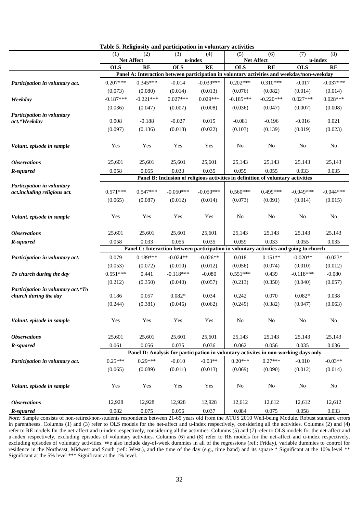|                                    |             |                   | rabic of indignoity and participation in voluntary |             | acuviucs                                                                                   |             |             |                |
|------------------------------------|-------------|-------------------|----------------------------------------------------|-------------|--------------------------------------------------------------------------------------------|-------------|-------------|----------------|
|                                    | (1)         | (2)               | (3)<br>(4)                                         |             | (5)                                                                                        | (6)         | (7)         | (8)            |
|                                    |             | <b>Net Affect</b> | u-index                                            |             | <b>Net Affect</b>                                                                          |             | u-index     |                |
|                                    | <b>OLS</b>  | <b>RE</b>         | <b>OLS</b>                                         | <b>RE</b>   | <b>OLS</b>                                                                                 | <b>RE</b>   | <b>OLS</b>  | RE             |
|                                    |             |                   |                                                    |             | Panel A: Interaction between participation in voluntary activities and weekday/non-weekday |             |             |                |
| Participation in voluntary act.    | $0.207***$  | $0.345***$        | $-0.014$                                           | $-0.039***$ | $0.202***$                                                                                 | $0.310***$  | $-0.017$    | $-0.037***$    |
|                                    | (0.073)     | (0.080)           | (0.014)                                            | (0.013)     | (0.076)                                                                                    | (0.082)     | (0.014)     | (0.014)        |
| Weekday                            | $-0.187***$ | $-0.221***$       | $0.027***$                                         | $0.029***$  | $-0.185***$                                                                                | $-0.220***$ | $0.027***$  | $0.028***$     |
|                                    | (0.036)     | (0.047)           | (0.007)                                            | (0.008)     | (0.036)                                                                                    | (0.047)     | (0.007)     | (0.008)        |
| Participation in voluntary         |             |                   |                                                    |             |                                                                                            |             |             |                |
| act.*Weekday                       | 0.008       | $-0.188$          | $-0.027$                                           | 0.015       | $-0.081$                                                                                   | $-0.196$    | $-0.016$    | 0.021          |
|                                    | (0.097)     | (0.136)           | (0.018)                                            | (0.022)     | (0.103)                                                                                    | (0.139)     | (0.019)     | (0.023)        |
|                                    |             |                   |                                                    |             |                                                                                            |             |             |                |
| Volunt. episode in sample          | Yes         | Yes               | Yes                                                | Yes         | N <sub>0</sub>                                                                             | No          | No          | No             |
|                                    |             |                   |                                                    |             |                                                                                            |             |             |                |
| <i><b>Observations</b></i>         | 25,601      | 25,601            | 25,601                                             | 25,601      | 25,143                                                                                     | 25,143      | 25,143      | 25,143         |
| R-squared                          | 0.058       | 0.055             | 0.033                                              | 0.035       | 0.059                                                                                      | 0.055       | 0.033       | 0.035          |
|                                    |             |                   |                                                    |             | Panel B: Inclusion of religious activities in definition of voluntary activities           |             |             |                |
| Participation in voluntary         |             |                   |                                                    |             |                                                                                            |             |             |                |
| act.including religious act.       | $0.571***$  | $0.547***$        | $-0.050***$                                        | $-0.050***$ | $0.560***$                                                                                 | $0.499***$  | $-0.049***$ | $-0.044***$    |
|                                    | (0.065)     | (0.087)           | (0.012)                                            | (0.014)     | (0.073)                                                                                    | (0.091)     | (0.014)     | (0.015)        |
|                                    |             |                   |                                                    |             |                                                                                            |             |             |                |
| Volunt. episode in sample          | Yes         | Yes               | Yes                                                | Yes         | No                                                                                         | No          | No          | N <sub>0</sub> |
|                                    |             |                   |                                                    |             |                                                                                            |             |             |                |
| <b>Observations</b>                | 25,601      | 25,601            | 25,601                                             | 25,601      | 25,143                                                                                     | 25,143      | 25,143      | 25,143         |
|                                    |             |                   |                                                    |             |                                                                                            |             |             |                |
| R-squared                          | 0.058       | 0.033             | 0.055                                              | 0.035       | 0.059                                                                                      | 0.033       | 0.055       | 0.035          |
|                                    |             |                   |                                                    |             | Panel C: Interaction between participation in voluntary activities and going to church     |             |             |                |
| Participation in voluntary act.    | 0.079       | $0.189***$        | $-0.024**$                                         | $-0.026**$  | 0.018                                                                                      | $0.151**$   | $-0.020**$  | $-0.023*$      |
|                                    | (0.053)     | (0.072)           | (0.010)                                            | (0.012)     | (0.056)                                                                                    | (0.074)     | (0.010)     | (0.012)        |
| To church during the day           | $0.551***$  | 0.441             | $-0.118***$                                        | $-0.080$    | $0.551***$                                                                                 | 0.439       | $-0.118***$ | $-0.080$       |
|                                    | (0.212)     | (0.350)           | (0.040)                                            | (0.057)     | (0.213)                                                                                    | (0.350)     | (0.040)     | (0.057)        |
| Participation in voluntary act.*To |             |                   |                                                    |             |                                                                                            |             |             |                |
| church during the day              | 0.186       | 0.057             | $0.082*$                                           | 0.034       | 0.242                                                                                      | 0.070       | $0.082*$    | 0.038          |
|                                    | (0.244)     | (0.381)           | (0.046)                                            | (0.062)     | (0.249)                                                                                    | (0.382)     | (0.047)     | (0.063)        |
|                                    |             |                   |                                                    |             |                                                                                            |             |             |                |
| Volunt. episode in sample          | Yes         | Yes               | Yes                                                | Yes         | No                                                                                         | No          | No          | No             |
|                                    |             |                   |                                                    |             |                                                                                            |             |             |                |
| <b>Observations</b>                | 25,601      | 25,601            | 25,601                                             | 25,601      | 25,143                                                                                     | 25,143      | 25,143      | 25,143         |
| R-squared                          | 0.061       | 0.056             | 0.035                                              | 0.036       | 0.062                                                                                      | 0.056       | 0.035       | 0.036          |
|                                    |             |                   |                                                    |             | Panel D: Analysis for participation in voluntary activites in non-working days only        |             |             |                |
| Participation in voluntary act.    | $0.25***$   | $0.29***$         | $-0.010$                                           | $-0.03**$   | $0.20***$                                                                                  | $0.27***$   | $-0.010$    | $-0.03**$      |
|                                    | (0.065)     | (0.089)           | (0.011)                                            | (0.013)     | (0.069)                                                                                    | (0.090)     | (0.012)     | (0.014)        |
|                                    |             |                   |                                                    |             |                                                                                            |             |             |                |
|                                    |             |                   | Yes                                                |             |                                                                                            | $\rm No$    | ${\bf No}$  |                |
| Volunt. episode in sample          | Yes         | Yes               |                                                    | Yes         | $\rm No$                                                                                   |             |             | $\rm No$       |
|                                    |             |                   |                                                    |             |                                                                                            |             |             |                |
| <b>Observations</b>                | 12,928      | 12,928            | 12,928                                             | 12,928      | 12,612                                                                                     | 12,612      | 12,612      | 12,612         |
| R-squared                          | 0.082       | 0.075             | 0.056                                              | 0.037       | 0.084                                                                                      | 0.075       | 0.058       | 0.033          |

**Table 5. Religiosity and participation in voluntary activities**

*Note:* Sample consists of non-retired/non-students respondents between 21-65 years old from the ATUS 2010 Well-being Module. Robust standard errors in parentheses. Columns (1) and (3) refer to OLS models for the net-affect and u-index respectively, considering all the activities. Columns (2) and (4) refer to RE models for the net-affect and u-index respectively, considering all the activities. Columns (5) and (7) refer to OLS models for the net-affect and u-index respectively, excluding episodes of voluntary activities. Columns (6) and (8) refer to RE models for the net-affect and u-index respectively, excluding episodes of voluntary activities. We also include day-of-week dummies in all of the regressions (ref.: Friday), variable dummies to control for residence in the Northeast, Midwest and South (ref.: West.), and the time of the day (e.g., time band) and its square \* Significant at the 10% level \*\* Significant at the 5% level \*\*\* Significant at the 1% level.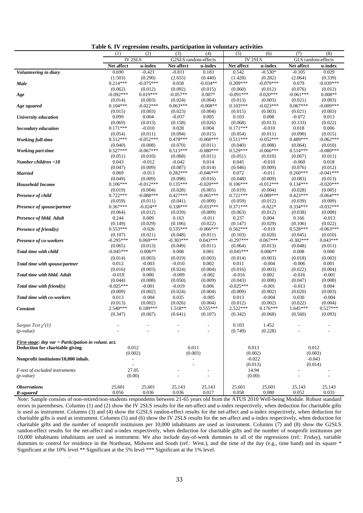|                                                      | (1)                                                      | (2)                    | (3)                   | (4)                    | (5)                   | (6)                 | (7)                   | (8)                    |
|------------------------------------------------------|----------------------------------------------------------|------------------------|-----------------------|------------------------|-----------------------|---------------------|-----------------------|------------------------|
|                                                      | <b>IV2SLS</b>                                            |                        | G2SLS random-effects  |                        | <b>IV 2SLS</b>        |                     | GLS random-effects    |                        |
|                                                      | Net affect                                               | u-index                | Net affect            | u-index                | Net affect            | u-index             | Net affect            | u-index                |
| Volunteering in diary                                | 0.690                                                    | $-0.421$               | $-0.811$              | 0.183                  | 0.542                 | $-0.530*$           | $-0.105$              | 0.029                  |
|                                                      | (1.503)                                                  | (0.290)                | (2.655)               | (0.440)                | (1.428)               | (0.282)             | (2.064)               | (0.339)                |
| Male                                                 | $0.214***$                                               | $-0.075***$            | 0.058                 | $-0.034**$             | $0.209***$            | $-0.079***$         | 0.079                 | $-0.039***$            |
|                                                      | (0.062)                                                  | (0.012)                | (0.092)               | (0.015)                | (0.060)               | (0.012)             | (0.076)               | (0.012)                |
| Age                                                  | $-0.092***$                                              | $0.019***$             | $-0.057**$            | $0.007*$               | $-0.091***$           | $0.020***$          | $-0.061***$           | $0.008**$              |
|                                                      | (0.014)                                                  | (0.003)                | (0.024)               | (0.004)                | (0.013)               | (0.003)             | (0.021)               | (0.003)                |
| Age squared                                          | $0.104***$                                               | $-0.022***$            | $0.063***$            | $-0.008**$             | $0.103***$            | $-0.023***$         | $0.067***$            | $-0.009***$            |
|                                                      | (0.015)                                                  | (0.003)                | (0.023)               | (0.004)                | (0.015)               | (0.003)             | (0.021)               | (0.003)                |
| University education                                 | 0.099                                                    | 0.004                  | $-0.037$              | 0.005                  | 0.103                 | 0.008               | $-0.072$              | 0.013                  |
|                                                      | (0.069)                                                  | (0.013)                | (0.158)               | (0.026)                | (0.068)               | (0.013)             | (0.133)               | (0.022)                |
| <b>Secondary education</b>                           | $0.171***$                                               | $-0.010$               | 0.028                 | 0.004                  | $0.171***$            | $-0.010$            | 0.018                 | 0.006                  |
|                                                      | (0.054)                                                  | (0.011)                | (0.094)               | (0.015)                | (0.054)               | (0.011)             | (0.090)               | (0.015)                |
| <b>Working full-time</b>                             | $0.512***$                                               | $-0.052***$            | $0.478***$            | $-0.060***$            | $0.511***$            | $-0.052***$         | $0.489***$            | $-0.062***$            |
|                                                      | (0.040)                                                  | (0.008)                | (0.070)               | (0.011)                | (0.040)               | (0.008)             | (0.064)               | (0.010)                |
| Working part-time                                    | $0.527***$                                               | $-0.067***$            | $0.513***$            | $-0.080***$            | $0.529***$            | $-0.066***$         | $0.514***$            | $-0.080***$            |
|                                                      | (0.051)                                                  | (0.010)                | (0.068)               | (0.011)                | (0.051)               | (0.010)             | (0.067)               | (0.011)                |
| Number children <18                                  | 0.043                                                    | $-0.012$               | $-0.042$              | 0.014                  | 0.045                 | $-0.010$            | $-0.060$              | 0.018                  |
|                                                      | (0.047)<br>0.069                                         | (0.009)<br>$-0.013$    | (0.087)<br>$0.282***$ | (0.014)<br>$-0.046***$ | (0.046)<br>0.072      | (0.009)<br>$-0.011$ | (0.076)<br>$0.260***$ | (0.012)<br>$-0.041***$ |
| <b>Married</b>                                       |                                                          |                        |                       |                        |                       | (0.009)             |                       | (0.013)                |
| <b>Household Income</b>                              | (0.049)<br>$0.106***$                                    | (0.009)<br>$-0.012***$ | (0.098)<br>$0.135***$ | (0.016)<br>$-0.020***$ | (0.048)<br>$0.106***$ | $-0.012***$         | (0.083)<br>$0.134***$ | $-0.020***$            |
|                                                      | (0.019)                                                  | (0.004)                | (0.028)               | (0.005)                | (0.019)               | (0.004)             | (0.028)               | (0.005)                |
| <b>Presence of child</b>                             | $0.722***$                                               | $-0.088***$            | $0.427***$            | $-0.065***$            | $0.721***$            | $-0.089***$         | $0.423***$            | $-0.064***$            |
|                                                      | (0.059)                                                  | (0.011)                | (0.041)               | (0.009)                | (0.059)               | (0.012)             | (0.039)               | (0.009)                |
| Presence of spouse/partner                           | $0.367***$                                               | $-0.024**$             | $0.338***$            | $-0.033***$            | $0.371***$            | $-0.022*$           | $0.334***$            | $-0.032***$            |
|                                                      | (0.064)                                                  | (0.012)                | (0.039)               | (0.009)                | (0.063)               | (0.012)             | (0.038)               | (0.008)                |
| Presence of hhld. Adult                              | 0.244                                                    | 0.009                  | 0.163                 | $-0.011$               | 0.237                 | 0.004               | 0.166                 | $-0.013$               |
|                                                      | (0.149)                                                  | (0.029)                | (0.106)               | (0.022)                | (0.147)               | (0.029)             | (0.106)               | (0.022)                |
| Presence of friend(s)                                | $0.553***$                                               | $-0.026$               | $0.535***$            | $-0.066***$            | $0.562***$            | $-0.019$            | $0.528***$            | $-0.063***$            |
|                                                      | (0.107)                                                  | (0.021)                | (0.048)               | (0.011)                | (0.103)               | (0.020)             | (0.045)               | (0.010)                |
| <b>Presence of co-workers</b>                        | $-0.295***$                                              | $0.069***$             | $-0.303***$           | $0.043***$             | $-0.297***$           | $0.067***$          | $-0.302***$           | $0.043***$             |
|                                                      | (0.065)                                                  | (0.013)                | (0.049)               | (0.011)                | (0.064)               | (0.013)             | (0.048)               | (0.011)                |
| Total time with child                                | $-0.045***$                                              | $0.006**$              | 0.008                 | 0.001                  | $-0.045***$           | $0.006**$           | 0.008                 | 0.000                  |
|                                                      | (0.014)                                                  | (0.003)                | (0.019)               | (0.003)                | (0.014)               | (0.003)             | (0.018)               | (0.003)                |
| Total time with spouse/partner                       | 0.012                                                    | $-0.003$               | $-0.010$              | 0.002                  | 0.011                 | $-0.004$            | $-0.006$              | 0.001                  |
|                                                      | (0.016)                                                  | (0.003)                | (0.024)               | (0.004)                | (0.016)               | (0.003)             | (0.022)               | (0.004)                |
| Total time with hhld. Adult                          | $-0.019$                                                 | 0.000                  | $-0.009$              | $-0.002$               | $-0.016$              | 0.002               | $-0.016$              | $-0.001$               |
|                                                      | (0.044)                                                  | (0.008)                | (0.050)               | (0.009)                | (0.043)               | (0.008)             | (0.047)               | (0.008)                |
| Total time with friend $(s)$                         | $-0.025***$                                              | $-0.001$               | $-0.019$              | 0.006                  | $-0.025***$           | $-0.001$            | $-0.013$              | 0.004                  |
|                                                      | (0.009)                                                  | (0.002)                | (0.024)               | (0.004)                | (0.009)               | (0.002)             | (0.020)               | (0.003)                |
| Total time with co-workers                           | 0.013                                                    | $-0.004$               | 0.035                 | $-0.005$               | 0.013                 | $-0.004$            | 0.030                 | $-0.004$               |
|                                                      | (0.013)                                                  | (0.002)                | (0.026)               | (0.004)                | (0.012)               | (0.002)             | (0.022)               | (0.004)                |
| Constant                                             | 2.540***                                                 | $0.189***$             | 1.518**               | $0.555***$             | $2.522***$            | $0.176***$          | $1.645***$            | $0.527***$             |
|                                                      | (0.347)                                                  | (0.067)                | (0.641)               | (0.107)                | (0.342)               | (0.068)             | (0.560)               | (0.093)                |
|                                                      |                                                          |                        |                       |                        |                       |                     |                       |                        |
| Sargan Test $\chi^2(1)$                              |                                                          |                        |                       |                        | 0.103                 | 1.452               |                       |                        |
| $(p-value)$                                          |                                                          |                        |                       |                        | (0.749)               | (0.228)             |                       |                        |
|                                                      |                                                          |                        |                       |                        |                       |                     |                       |                        |
| First-stage: dep var = Participation in volunt. act. | 0.012                                                    |                        | 0.011                 |                        | 0.013                 |                     | 0.012                 |                        |
| Deduction for charitable giving                      | (0.002)                                                  |                        | (0.003)               |                        | (0.002)               |                     | (0.003)               |                        |
| Nonprofit instituions/10,000 inhab.                  |                                                          |                        |                       |                        | $-0.022$              |                     | $-0.043$              |                        |
|                                                      | $\qquad \qquad \blacksquare$<br>$\overline{\phantom{a}}$ |                        |                       |                        | (0.013)               |                     | (0.014)               |                        |
| F-test of excluded instruments                       | 27.05                                                    |                        |                       |                        | 14.94                 |                     |                       |                        |
| $(p-value)$                                          | (0.00)                                                   |                        |                       | ÷,                     | (0.00)                |                     |                       |                        |
|                                                      |                                                          |                        |                       |                        |                       |                     |                       |                        |
| <b>Observations</b>                                  | 25,601                                                   | 25,601                 | 25,143                | 25,143                 | 25,601                | 25,601              | 25,143                | 25,143                 |
| R-squared                                            | 0.056                                                    | 0.036                  | 0.036                 | 0.017                  | 0.058                 | 0.080               | 0.052                 | 0.033                  |

**Table 6. IV regression results, participation in voluntary activities**

*Note:* Sample consists of non-retired/non-students respondents between 21-65 years old from the ATUS 2010 Well-being Module. Robust standard errors in parentheses. Columns (1) and (2) show the IV 2SLS results for the net-affect and u-index respectively, when deduction for charitable gifts is used as instrument. Columns (3) and (4) show the G2SLS randon-effect results for the net-affect and u-index respectively, when deduction for charitable gifts is used as instrument. Columns (5) and (6) show the IV 2SLS results for the net-affect and u-index respectively, when deduction for charitable gifts and the number of nonprofit instituions per 10,000 inhabitants are used as instrument. Columns (7) and (8) show the G2SLS randon-effect results for the net-affect and u-index respectively, when deduction for charitable gifts and the number of nonprofit instituions per 10,000 inhabitants inhabitants are used as instrument. We also include day-of-week dummies in all of the regressions (ref.: Friday), variable dummies to control for residence in the Northeast, Midwest and South (ref.: West.), and the time of the day (e.g., time band) and its square \* Significant at the 10% level \*\* Significant at the 5% level \*\*\* Significant at the 1% level.

.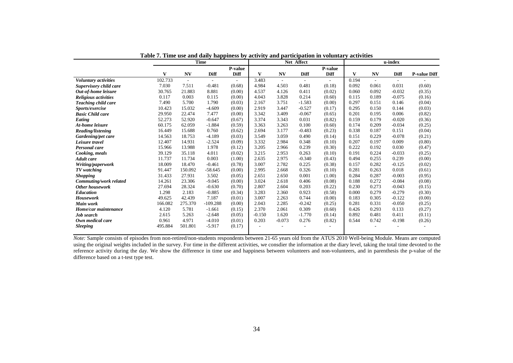|                         | <b>Time</b> |         |            | Net Affect |          |          |                          | u-index |       |           |          |                     |
|-------------------------|-------------|---------|------------|------------|----------|----------|--------------------------|---------|-------|-----------|----------|---------------------|
|                         |             |         |            | P-value    |          |          |                          | P-value |       |           |          |                     |
|                         | V           | NV      | Diff       | Diff       | V        | NV       | Diff                     | Diff    | V     | <b>NV</b> | Diff     | <b>P-value Diff</b> |
| Voluntary activities    | 102.733     | ÷,      |            | ٠          | 3.483    | $\sim$   | $\overline{\phantom{a}}$ |         | 0.194 |           | ٠        |                     |
| Supervisory child care  | 7.030       | 7.511   | $-0.481$   | (0.68)     | 4.984    | 4.503    | 0.481                    | (0.18)  | 0.092 | 0.061     | 0.031    | (0.60)              |
| Out-of-home leisure     | 30.765      | 21.883  | 8.881      | (0.00)     | 4.537    | 4.126    | 0.411                    | (0.02)  | 0.060 | 0.092     | $-0.032$ | (0.35)              |
| Religious activities    | 0.117       | 0.003   | 0.115      | (0.00)     | 4.043    | 3.828    | 0.214                    | (0.60)  | 0.115 | 0.189     | $-0.075$ | (0.16)              |
| Teaching child care     | 7.490       | 5.700   | 1.790      | (0.03)     | 2.167    | 3.751    | $-1.583$                 | (0.00)  | 0.297 | 0.151     | 0.146    | (0.04)              |
| Sports/exercise         | 10.423      | 15.032  | $-4.609$   | (0.00)     | 2.919    | 3.447    | $-0.527$                 | (0.17)  | 0.295 | 0.150     | 0.144    | (0.03)              |
| <b>Basic Child care</b> | 29.950      | 22.474  | 7.477      | (0.00)     | 3.342    | 3.409    | $-0.067$                 | (0.65)  | 0.201 | 0.195     | 0.006    | (0.82)              |
| Eating                  | 52.273      | 52.920  | $-0.647$   | (0.67)     | 3.374    | 3.343    | 0.031                    | (0.82)  | 0.159 | 0.179     | $-0.020$ | (0.36)              |
| At-home leisure         | 60.175      | 62.059  | $-1.884$   | (0.59)     | 3.363    | 3.263    | 0.100                    | (0.60)  | 0.174 | 0.209     | $-0.034$ | (0.25)              |
| Reading/listening       | 16.449      | 15.688  | 0.760      | (0.62)     | 2.694    | 3.177    | $-0.483$                 | (0.23)  | 0.338 | 0.187     | 0.151    | (0.04)              |
| Gardening/pet care      | 14.563      | 18.753  | $-4.189$   | (0.03)     | 3.549    | 3.059    | 0.490                    | (0.14)  | 0.151 | 0.229     | $-0.078$ | (0.21)              |
| Leisure travel          | 12.407      | 14.931  | $-2.524$   | (0.09)     | 3.332    | 2.984    | 0.348                    | (0.10)  | 0.207 | 0.197     | 0.009    | (0.80)              |
| <b>Personal</b> care    | 15.966      | 13.988  | 1.978      | (0.12)     | 3.205    | 2.966    | 0.239                    | (0.30)  | 0.222 | 0.192     | 0.030    | (0.47)              |
| Cooking, meals          | 39.129      | 35.118  | 4.011      | (0.02)     | 3.215    | 2.953    | 0.263                    | (0.10)  | 0.191 | 0.224     | $-0.033$ | (0.25)              |
| <b>Adult</b> care       | 11.737      | 11.734  | 0.003      | (1.00)     | 2.635    | 2.975    | $-0.340$                 | (0.43)  | 0.494 | 0.255     | 0.239    | (0.00)              |
| Writing/paperwork       | 18.009      | 18.470  | $-0.461$   | (0.78)     | 3.007    | 2.782    | 0.225                    | (0.38)  | 0.157 | 0.282     | $-0.125$ | (0.02)              |
| TV watching             | 91.447      | 150.092 | $-58.645$  | (0.00)     | 2.995    | 2.668    | 0.326                    | (0.10)  | 0.281 | 0.263     | 0.018    | (0.61)              |
| <b>Shopping</b>         | 31.433      | 27.931  | 3.502      | (0.05)     | 2.651    | 2.650    | 0.001                    | (1.00)  | 0.284 | 0.287     | $-0.003$ | (0.95)              |
| Commuting/work related  | 14.261      | 23.306  | $-9.045$   | (0.00)     | 3.024    | 2.618    | 0.406                    | (0.08)  | 0.188 | 0.272     | $-0.084$ | (0.08)              |
| <b>Other housework</b>  | 27.694      | 28.324  | $-0.630$   | (0.70)     | 2.807    | 2.604    | 0.203                    | (0.22)  | 0.230 | 0.273     | $-0.043$ | (0.15)              |
| <b>Education</b>        | 1.298       | 2.183   | $-0.885$   | (0.34)     | 3.283    | 2.360    | 0.923                    | (0.58)  | 0.000 | 0.279     | $-0.279$ | (0.30)              |
| <b>Housework</b>        | 49.625      | 42.439  | 7.187      | (0.01)     | 3.007    | 2.263    | 0.744                    | (0.00)  | 0.183 | 0.305     | $-0.122$ | (0.00)              |
| Main work               | 166.082     | 275.370 | $-109.288$ | (0.00)     | 2.043    | 2.285    | $-0.242$                 | (0.25)  | 0.281 | 0.331     | $-0.050$ | (0.25)              |
| Home/car maintenance    | 4.120       | 5.781   | $-1.661$   | (0.15)     | 2.370    | 2.061    | 0.309                    | (0.60)  | 0.426 | 0.293     | 0.133    | (0.27)              |
| <b>Job</b> search       | 2.615       | 5.263   | $-2.648$   | (0.05)     | $-0.150$ | 1.620    | $-1.770$                 | (0.14)  | 0.892 | 0.481     | 0.411    | (0.11)              |
| Own medical care        | 0.961       | 4.971   | $-4.010$   | (0.01)     | 0.203    | $-0.073$ | 0.276                    | (0.82)  | 0.544 | 0.742     | $-0.198$ | (0.26)              |
| <b>Sleeping</b>         | 495.884     | 501.801 | $-5.917$   | (0.17)     |          |          |                          |         |       |           |          |                     |
|                         |             |         |            |            |          |          |                          |         |       |           |          |                     |

**Table 7. Time use and daily happiness by activity and participation in voluntary activities** 

*Note:* Sample consists of episodes from non-retired/non-students respondents between 21-65 years old from the ATUS 2010 Well-being Module. Means are computed using the original weights included in the survey. For time in the different activities, we consdier the information at the diary level, taking the total time devoted to the reference activity during the day. We show the difference in time use and happiness between volunteers and non-volunteers, and in parenthesis the p-value of the difference based on a t-test type test.